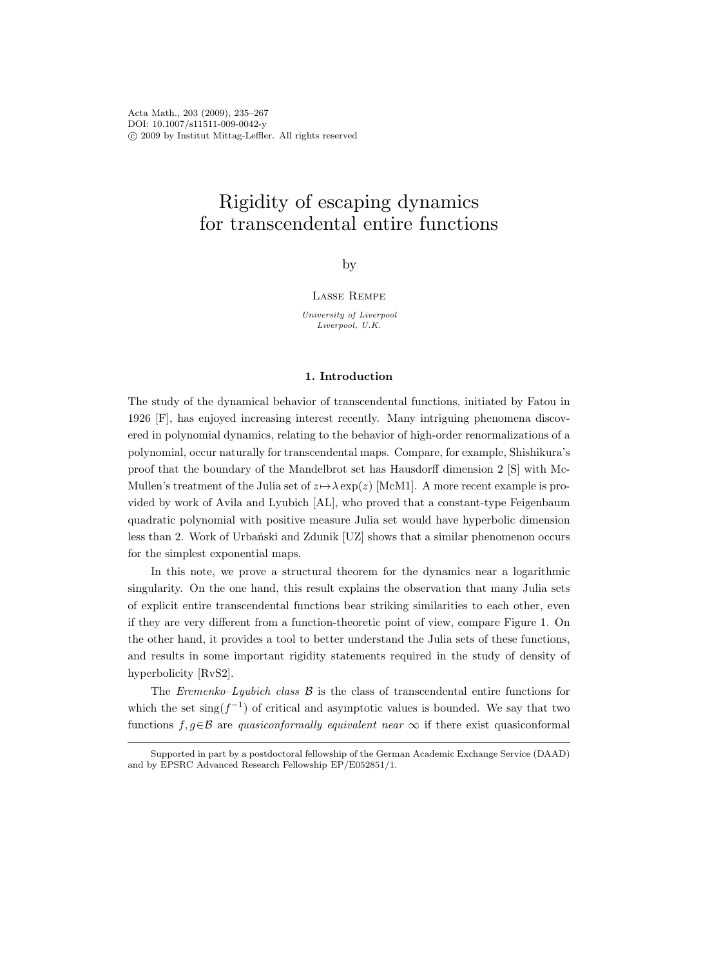Acta Math., 203 (2009), 235–267 DOI: 10.1007/s11511-009-0042-y c 2009 by Institut Mittag-Leffler. All rights reserved

# Rigidity of escaping dynamics for transcendental entire functions

by

#### Lasse Rempe

University of Liverpool Liverpool, U.K.

#### 1. Introduction

The study of the dynamical behavior of transcendental functions, initiated by Fatou in 1926 [F], has enjoyed increasing interest recently. Many intriguing phenomena discovered in polynomial dynamics, relating to the behavior of high-order renormalizations of a polynomial, occur naturally for transcendental maps. Compare, for example, Shishikura's proof that the boundary of the Mandelbrot set has Hausdorff dimension 2 [S] with Mc-Mullen's treatment of the Julia set of  $z \mapsto \lambda \exp(z)$  [McM1]. A more recent example is provided by work of Avila and Lyubich [AL], who proved that a constant-type Feigenbaum quadratic polynomial with positive measure Julia set would have hyperbolic dimension less than 2. Work of Urbański and Zdunik  $[UZ]$  shows that a similar phenomenon occurs for the simplest exponential maps.

In this note, we prove a structural theorem for the dynamics near a logarithmic singularity. On the one hand, this result explains the observation that many Julia sets of explicit entire transcendental functions bear striking similarities to each other, even if they are very different from a function-theoretic point of view, compare Figure 1. On the other hand, it provides a tool to better understand the Julia sets of these functions, and results in some important rigidity statements required in the study of density of hyperbolicity [RvS2].

The Eremenko–Lyubich class  $\beta$  is the class of transcendental entire functions for which the set  $\text{sing}(f^{-1})$  of critical and asymptotic values is bounded. We say that two functions  $f, g \in \mathcal{B}$  are quasiconformally equivalent near  $\infty$  if there exist quasiconformal

Supported in part by a postdoctoral fellowship of the German Academic Exchange Service (DAAD) and by EPSRC Advanced Research Fellowship EP/E052851/1.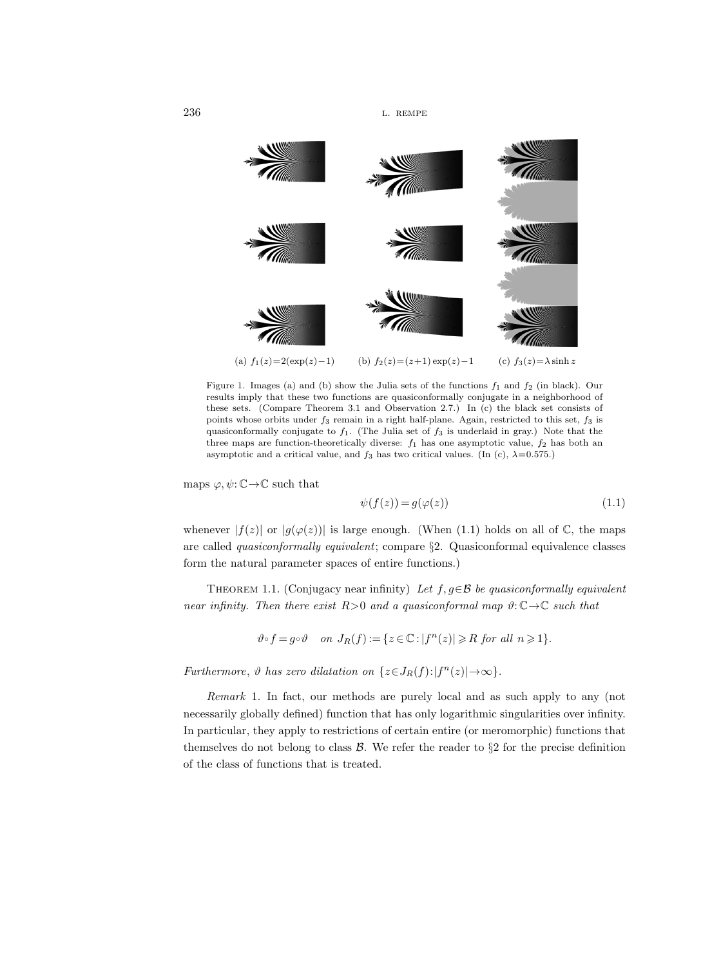

Figure 1. Images (a) and (b) show the Julia sets of the functions  $f_1$  and  $f_2$  (in black). Our results imply that these two functions are quasiconformally conjugate in a neighborhood of these sets. (Compare Theorem 3.1 and Observation 2.7.) In (c) the black set consists of points whose orbits under  $f_3$  remain in a right half-plane. Again, restricted to this set,  $f_3$  is quasiconformally conjugate to  $f_1$ . (The Julia set of  $f_3$  is underlaid in gray.) Note that the three maps are function-theoretically diverse:  $f_1$  has one asymptotic value,  $f_2$  has both an asymptotic and a critical value, and  $f_3$  has two critical values. (In (c),  $\lambda=0.575$ .)

maps  $\varphi, \psi \colon \mathbb{C} \to \mathbb{C}$  such that

$$
\psi(f(z)) = g(\varphi(z))\tag{1.1}
$$

whenever  $|f(z)|$  or  $|g(\varphi(z))|$  is large enough. (When (1.1) holds on all of  $\mathbb{C}$ , the maps are called quasiconformally equivalent; compare §2. Quasiconformal equivalence classes form the natural parameter spaces of entire functions.)

THEOREM 1.1. (Conjugacy near infinity) Let  $f, g \in \mathcal{B}$  be quasiconformally equivalent near infinity. Then there exist  $R>0$  and a quasiconformal map  $\vartheta: \mathbb{C} \to \mathbb{C}$  such that

$$
\vartheta \circ f = g \circ \vartheta \quad on \ J_R(f) := \{ z \in \mathbb{C} : |f^n(z)| \ge R \ for \ all \ n \ge 1 \}.
$$

Furthermore,  $\vartheta$  has zero dilatation on  $\{z \in J_R(f): |f^n(z)| \to \infty\}.$ 

Remark 1. In fact, our methods are purely local and as such apply to any (not necessarily globally defined) function that has only logarithmic singularities over infinity. In particular, they apply to restrictions of certain entire (or meromorphic) functions that themselves do not belong to class  $\mathcal{B}$ . We refer the reader to §2 for the precise definition of the class of functions that is treated.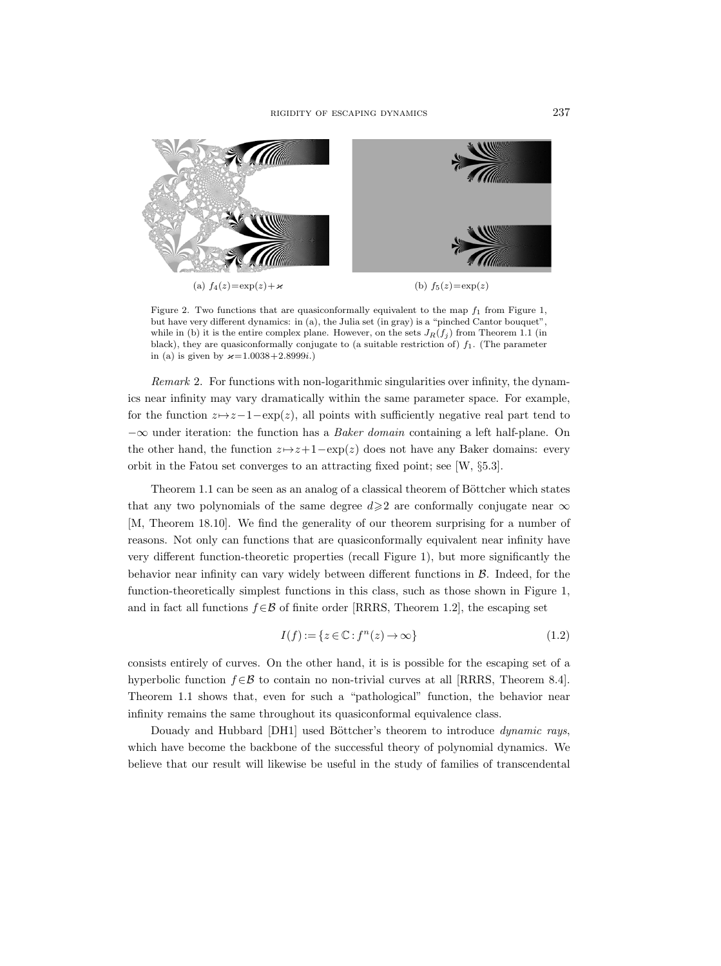

Figure 2. Two functions that are quasiconformally equivalent to the map  $f_1$  from Figure 1, but have very different dynamics: in (a), the Julia set (in gray) is a "pinched Cantor bouquet", while in (b) it is the entire complex plane. However, on the sets  $J_R(f_j)$  from Theorem 1.1 (in black), they are quasiconformally conjugate to (a suitable restriction of)  $f_1$ . (The parameter in (a) is given by  $\varkappa = 1.0038 + 2.8999i$ .)

Remark 2. For functions with non-logarithmic singularities over infinity, the dynamics near infinity may vary dramatically within the same parameter space. For example, for the function  $z \mapsto z-1-\exp(z)$ , all points with sufficiently negative real part tend to  $-\infty$  under iteration: the function has a *Baker domain* containing a left half-plane. On the other hand, the function  $z \mapsto z+1-\exp(z)$  does not have any Baker domains: every orbit in the Fatou set converges to an attracting fixed point; see [W, §5.3].

Theorem 1.1 can be seen as an analog of a classical theorem of Böttcher which states that any two polynomials of the same degree  $d\geqslant 2$  are conformally conjugate near  $\infty$ [M, Theorem 18.10]. We find the generality of our theorem surprising for a number of reasons. Not only can functions that are quasiconformally equivalent near infinity have very different function-theoretic properties (recall Figure 1), but more significantly the behavior near infinity can vary widely between different functions in B. Indeed, for the function-theoretically simplest functions in this class, such as those shown in Figure 1, and in fact all functions  $f \in \mathcal{B}$  of finite order [RRRS, Theorem 1.2], the escaping set

$$
I(f) := \{ z \in \mathbb{C} : f^n(z) \to \infty \}
$$
\n<sup>(1.2)</sup>

consists entirely of curves. On the other hand, it is is possible for the escaping set of a hyperbolic function  $f \in \mathcal{B}$  to contain no non-trivial curves at all [RRRS, Theorem 8.4]. Theorem 1.1 shows that, even for such a "pathological" function, the behavior near infinity remains the same throughout its quasiconformal equivalence class.

Douady and Hubbard [DH1] used Böttcher's theorem to introduce *dynamic rays*, which have become the backbone of the successful theory of polynomial dynamics. We believe that our result will likewise be useful in the study of families of transcendental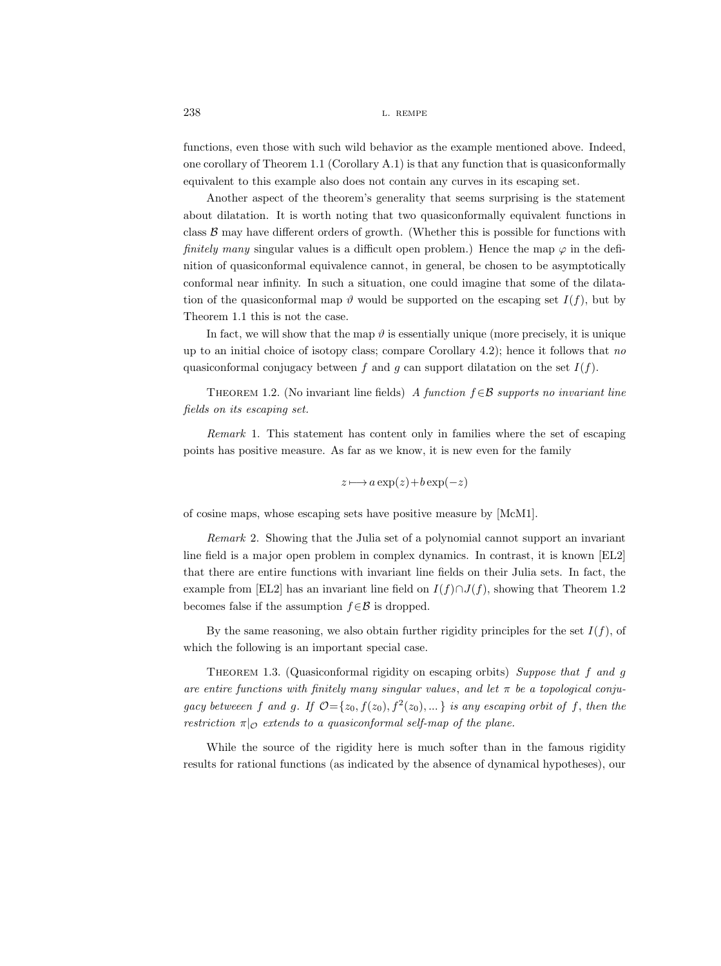functions, even those with such wild behavior as the example mentioned above. Indeed, one corollary of Theorem 1.1 (Corollary A.1) is that any function that is quasiconformally equivalent to this example also does not contain any curves in its escaping set.

Another aspect of the theorem's generality that seems surprising is the statement about dilatation. It is worth noting that two quasiconformally equivalent functions in class  $\beta$  may have different orders of growth. (Whether this is possible for functions with finitely many singular values is a difficult open problem.) Hence the map  $\varphi$  in the definition of quasiconformal equivalence cannot, in general, be chosen to be asymptotically conformal near infinity. In such a situation, one could imagine that some of the dilatation of the quasiconformal map  $\vartheta$  would be supported on the escaping set  $I(f)$ , but by Theorem 1.1 this is not the case.

In fact, we will show that the map  $\vartheta$  is essentially unique (more precisely, it is unique up to an initial choice of isotopy class; compare Corollary 4.2); hence it follows that no quasiconformal conjugacy between f and g can support dilatation on the set  $I(f)$ .

THEOREM 1.2. (No invariant line fields) A function  $f \in \mathcal{B}$  supports no invariant line fields on its escaping set.

Remark 1. This statement has content only in families where the set of escaping points has positive measure. As far as we know, it is new even for the family

$$
z \longmapsto a \exp(z) + b \exp(-z)
$$

of cosine maps, whose escaping sets have positive measure by [McM1].

Remark 2. Showing that the Julia set of a polynomial cannot support an invariant line field is a major open problem in complex dynamics. In contrast, it is known [EL2] that there are entire functions with invariant line fields on their Julia sets. In fact, the example from [EL2] has an invariant line field on  $I(f) \cap J(f)$ , showing that Theorem 1.2 becomes false if the assumption  $f \in \mathcal{B}$  is dropped.

By the same reasoning, we also obtain further rigidity principles for the set  $I(f)$ , of which the following is an important special case.

THEOREM 1.3. (Quasiconformal rigidity on escaping orbits) Suppose that f and g are entire functions with finitely many singular values, and let  $\pi$  be a topological conjugacy betweeen f and g. If  $\mathcal{O} = \{z_0, f(z_0), f^2(z_0), \dots\}$  is any escaping orbit of f, then the restriction  $\pi|_{\mathcal{O}}$  extends to a quasiconformal self-map of the plane.

While the source of the rigidity here is much softer than in the famous rigidity results for rational functions (as indicated by the absence of dynamical hypotheses), our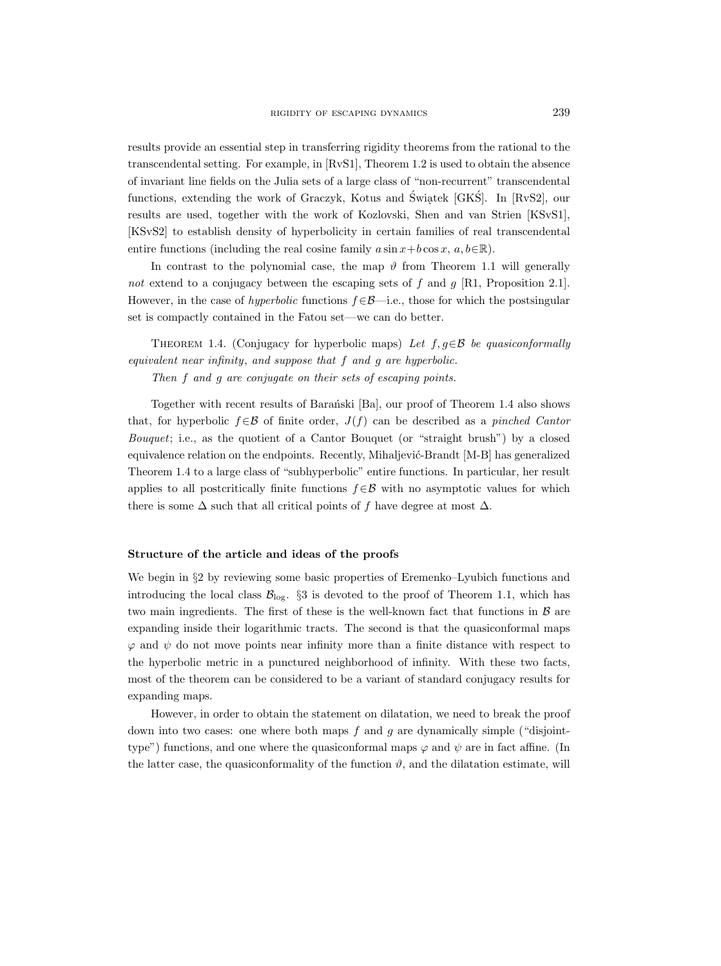results provide an essential step in transferring rigidity theorems from the rational to the transcendental setting. For example, in [RvS1], Theorem 1.2 is used to obtain the absence of invariant line fields on the Julia sets of a large class of "non-recurrent" transcendental functions, extending the work of Graczyk, Kotus and Świątek [GKŚ]. In [RvS2], our ' results are used, together with the work of Kozlovski, Shen and van Strien [KSvS1], [KSvS2] to establish density of hyperbolicity in certain families of real transcendental entire functions (including the real cosine family  $a \sin x + b \cos x$ ,  $a, b \in \mathbb{R}$ ).

In contrast to the polynomial case, the map  $\vartheta$  from Theorem 1.1 will generally not extend to a conjugacy between the escaping sets of f and g [R1, Proposition 2.1]. However, in the case of hyperbolic functions  $f \in \mathcal{B}$ —i.e., those for which the postsingular set is compactly contained in the Fatou set—we can do better.

THEOREM 1.4. (Conjugacy for hyperbolic maps) Let  $f, g \in \mathcal{B}$  be quasiconformally equivalent near infinity, and suppose that f and g are hyperbolic.

Then f and g are conjugate on their sets of escaping points.

Together with recent results of Baran´ski [Ba], our proof of Theorem 1.4 also shows that, for hyperbolic  $f \in \mathcal{B}$  of finite order,  $J(f)$  can be described as a pinched Cantor Bouquet; i.e., as the quotient of a Cantor Bouquet (or "straight brush") by a closed equivalence relation on the endpoints. Recently, Mihaljević-Brandt [M-B] has generalized Theorem 1.4 to a large class of "subhyperbolic" entire functions. In particular, her result applies to all postcritically finite functions  $f \in \mathcal{B}$  with no asymptotic values for which there is some  $\Delta$  such that all critical points of f have degree at most  $\Delta$ .

# Structure of the article and ideas of the proofs

We begin in  $\S2$  by reviewing some basic properties of Eremenko–Lyubich functions and introducing the local class  $\mathcal{B}_{\text{log}}$ . §3 is devoted to the proof of Theorem 1.1, which has two main ingredients. The first of these is the well-known fact that functions in  $\beta$  are expanding inside their logarithmic tracts. The second is that the quasiconformal maps  $\varphi$  and  $\psi$  do not move points near infinity more than a finite distance with respect to the hyperbolic metric in a punctured neighborhood of infinity. With these two facts, most of the theorem can be considered to be a variant of standard conjugacy results for expanding maps.

However, in order to obtain the statement on dilatation, we need to break the proof down into two cases: one where both maps  $f$  and  $g$  are dynamically simple ("disjointtype") functions, and one where the quasiconformal maps  $\varphi$  and  $\psi$  are in fact affine. (In the latter case, the quasiconformality of the function  $\vartheta$ , and the dilatation estimate, will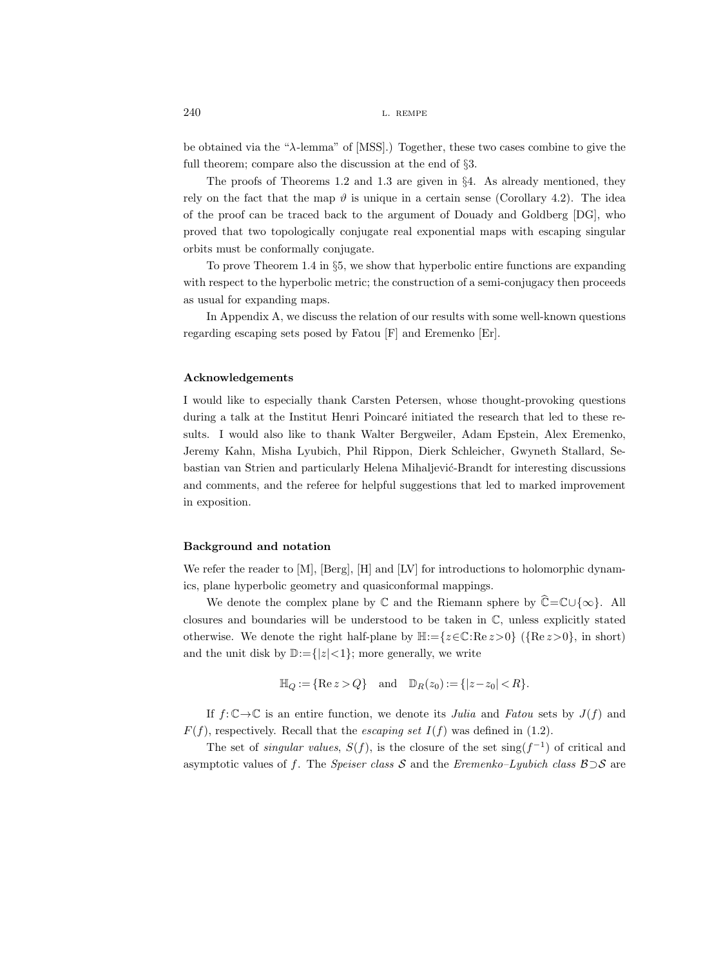be obtained via the "λ-lemma" of [MSS].) Together, these two cases combine to give the full theorem; compare also the discussion at the end of §3.

The proofs of Theorems 1.2 and 1.3 are given in  $\S 4$ . As already mentioned, they rely on the fact that the map  $\vartheta$  is unique in a certain sense (Corollary 4.2). The idea of the proof can be traced back to the argument of Douady and Goldberg [DG], who proved that two topologically conjugate real exponential maps with escaping singular orbits must be conformally conjugate.

To prove Theorem 1.4 in §5, we show that hyperbolic entire functions are expanding with respect to the hyperbolic metric; the construction of a semi-conjugacy then proceeds as usual for expanding maps.

In Appendix A, we discuss the relation of our results with some well-known questions regarding escaping sets posed by Fatou [F] and Eremenko [Er].

### Acknowledgements

I would like to especially thank Carsten Petersen, whose thought-provoking questions during a talk at the Institut Henri Poincaré initiated the research that led to these results. I would also like to thank Walter Bergweiler, Adam Epstein, Alex Eremenko, Jeremy Kahn, Misha Lyubich, Phil Rippon, Dierk Schleicher, Gwyneth Stallard, Sebastian van Strien and particularly Helena Mihaljević-Brandt for interesting discussions and comments, and the referee for helpful suggestions that led to marked improvement in exposition.

#### Background and notation

We refer the reader to [M], [Berg], [H] and [LV] for introductions to holomorphic dynamics, plane hyperbolic geometry and quasiconformal mappings.

We denote the complex plane by  $\mathbb C$  and the Riemann sphere by  $\widehat{\mathbb C}=\mathbb C\cup\{\infty\}.$  All closures and boundaries will be understood to be taken in  $\mathbb{C}$ , unless explicitly stated otherwise. We denote the right half-plane by  $\mathbb{H}:=\{z\in\mathbb{C}:\text{Re}\,z>0\}$  ( $\{\text{Re}\,z>0\}$ , in short) and the unit disk by  $\mathbb{D}:=\{|z|<1\}$ ; more generally, we write

$$
\mathbb{H}_Q := \{ \text{Re } z > Q \} \quad \text{and} \quad \mathbb{D}_R(z_0) := \{ |z - z_0| < R \}.
$$

If  $f: \mathbb{C} \to \mathbb{C}$  is an entire function, we denote its *Julia* and *Fatou* sets by  $J(f)$  and  $F(f)$ , respectively. Recall that the *escaping set*  $I(f)$  was defined in (1.2).

The set of *singular values*,  $S(f)$ , is the closure of the set sing $(f^{-1})$  of critical and asymptotic values of f. The Speiser class S and the Eremenko–Lyubich class  $\mathcal{B}\supset\mathcal{S}$  are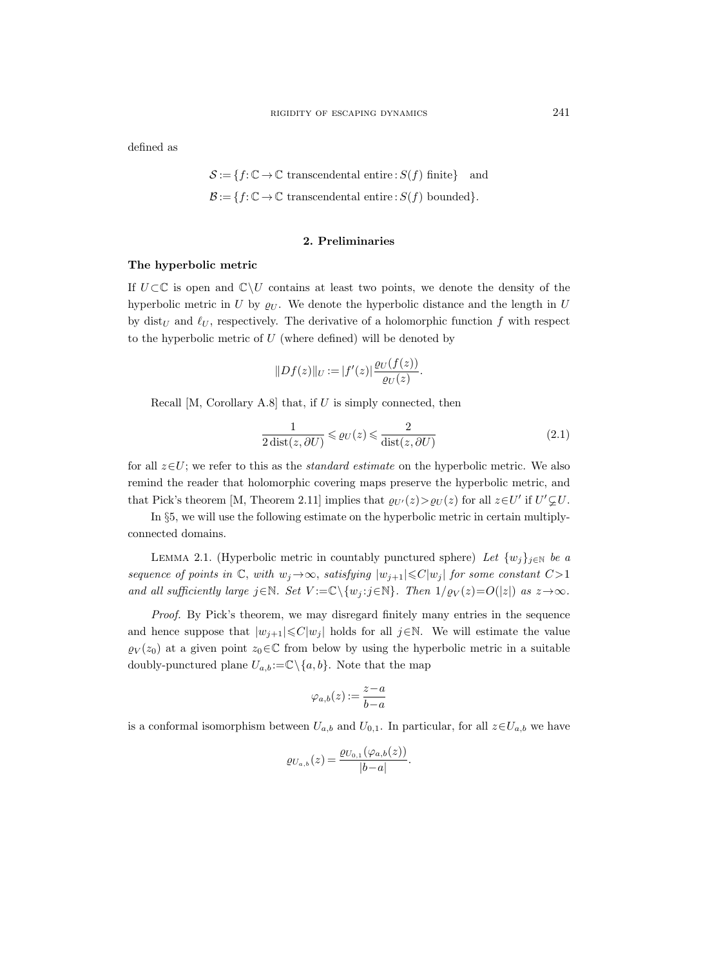defined as

$$
\mathcal{S} := \{ f : \mathbb{C} \to \mathbb{C} \text{ transcendental entire} : S(f) \text{ finite} \} \text{ and}
$$

$$
\mathcal{B} := \{ f : \mathbb{C} \to \mathbb{C} \text{ transcendental entire} : S(f) \text{ bounded} \}.
$$

#### 2. Preliminaries

## The hyperbolic metric

If  $U\subset\mathbb{C}$  is open and  $\mathbb{C}\setminus U$  contains at least two points, we denote the density of the hyperbolic metric in U by  $\varrho_U$ . We denote the hyperbolic distance and the length in U by dist<sub>U</sub> and  $\ell_U$ , respectively. The derivative of a holomorphic function f with respect to the hyperbolic metric of  $U$  (where defined) will be denoted by

$$
||Df(z)||_{U} := |f'(z)| \frac{\varrho_{U}(f(z))}{\varrho_{U}(z)}.
$$

Recall  $[M, Corollary A.8]$  that, if  $U$  is simply connected, then

$$
\frac{1}{2\operatorname{dist}(z,\partial U)} \leqslant \varrho_U(z) \leqslant \frac{2}{\operatorname{dist}(z,\partial U)}\tag{2.1}
$$

for all  $z \in U$ ; we refer to this as the *standard estimate* on the hyperbolic metric. We also remind the reader that holomorphic covering maps preserve the hyperbolic metric, and that Pick's theorem [M, Theorem 2.11] implies that  $\varrho_{U'}(z) > \varrho_U(z)$  for all  $z \in U'$  if  $U' \subsetneq U$ .

In §5, we will use the following estimate on the hyperbolic metric in certain multiplyconnected domains.

LEMMA 2.1. (Hyperbolic metric in countably punctured sphere) Let  $\{w_j\}_{j\in\mathbb{N}}$  be a sequence of points in  $\mathbb{C}$ , with  $w_j \rightarrow \infty$ , satisfying  $|w_{j+1}| \leq C |w_j|$  for some constant  $C>1$ and all sufficiently large  $j \in \mathbb{N}$ . Set  $V := \mathbb{C} \setminus \{w_j : j \in \mathbb{N}\}\$ . Then  $1/\varrho_V(z) = O(|z|)$  as  $z \to \infty$ .

Proof. By Pick's theorem, we may disregard finitely many entries in the sequence and hence suppose that  $|w_{j+1}| \leq C |w_j|$  holds for all  $j \in \mathbb{N}$ . We will estimate the value  $\varrho_V(z_0)$  at a given point  $z_0 \in \mathbb{C}$  from below by using the hyperbolic metric in a suitable doubly-punctured plane  $U_{a,b} := \mathbb{C} \setminus \{a, b\}$ . Note that the map

$$
\varphi_{a,b}(z) := \frac{z-a}{b-a}
$$

is a conformal isomorphism between  $U_{a,b}$  and  $U_{0,1}$ . In particular, for all  $z \in U_{a,b}$  we have

$$
\varrho_{U_{a,b}}(z) = \frac{\varrho_{U_{0,1}}(\varphi_{a,b}(z))}{|b-a|}.
$$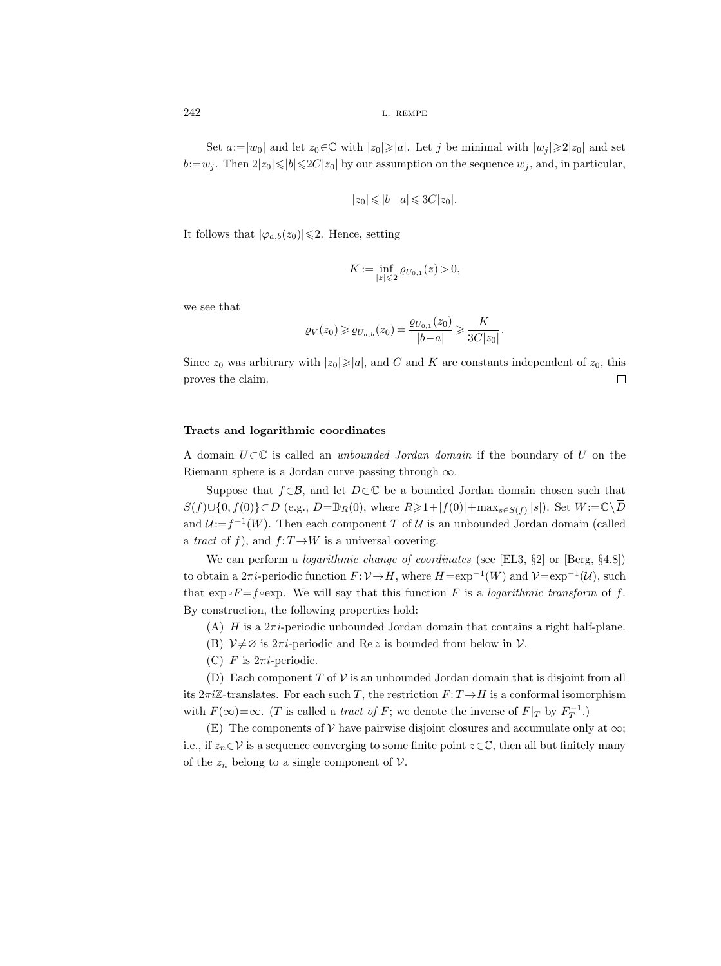Set  $a:=|w_0|$  and let  $z_0\in\mathbb{C}$  with  $|z_0|\geqslant|a|$ . Let j be minimal with  $|w_i|\geqslant 2|z_0|$  and set  $b:=w_j$ . Then  $2|z_0|\leq b|\leq 2C|z_0|$  by our assumption on the sequence  $w_j$ , and, in particular,

$$
|z_0|\leqslant |b-a|\leqslant 3C|z_0|.
$$

It follows that  $|\varphi_{a,b}(z_0)| \leq 2$ . Hence, setting

$$
K:=\inf_{|z|\leqslant 2}\varrho_{U_{0,1}}(z)>0,
$$

we see that

$$
\varrho_V(z_0) \ge \varrho_{U_{a,b}}(z_0) = \frac{\varrho_{U_{0,1}}(z_0)}{|b-a|} \ge \frac{K}{3C|z_0|}.
$$

Since  $z_0$  was arbitrary with  $|z_0|\geqslant |a|$ , and C and K are constants independent of  $z_0$ , this proves the claim.  $\Box$ 

# Tracts and logarithmic coordinates

A domain  $U \subset \mathbb{C}$  is called an unbounded Jordan domain if the boundary of U on the Riemann sphere is a Jordan curve passing through  $\infty$ .

Suppose that  $f \in \mathcal{B}$ , and let  $D \subset \mathbb{C}$  be a bounded Jordan domain chosen such that  $S(f) \cup \{0, f(0)\} \subset D$  (e.g.,  $D = \mathbb{D}_R(0)$ , where  $R \geq 1 + |f(0)| + \max_{s \in S(f)} |s|$ ). Set  $W := \mathbb{C} \setminus \overline{D}$ and  $\mathcal{U}:=f^{-1}(W)$ . Then each component T of U is an unbounded Jordan domain (called a tract of f), and  $f: T \to W$  is a universal covering.

We can perform a logarithmic change of coordinates (see [EL3, §2] or [Berg, §4.8]) to obtain a  $2\pi i$ -periodic function  $F: V \to H$ , where  $H = \exp^{-1}(W)$  and  $V = \exp^{-1}(U)$ , such that  $\exp \circ F = f \circ \exp$ . We will say that this function F is a *logarithmic transform* of f. By construction, the following properties hold:

(A)  $H$  is a  $2\pi i$ -periodic unbounded Jordan domain that contains a right half-plane.

- (B)  $\mathcal{V} \neq \emptyset$  is  $2\pi i$ -periodic and Re z is bounded from below in  $\mathcal{V}$ .
- (C) F is  $2\pi i$ -periodic.

(D) Each component T of  $V$  is an unbounded Jordan domain that is disjoint from all its  $2\pi i\mathbb{Z}$ -translates. For each such T, the restriction  $F: T \to H$  is a conformal isomorphism with  $F(\infty) = \infty$ . (*T* is called a *tract of F*; we denote the inverse of  $F|_T$  by  $F_T^{-1}$ .)

(E) The components of  $V$  have pairwise disjoint closures and accumulate only at  $\infty$ ; i.e., if  $z_n \in V$  is a sequence converging to some finite point  $z \in \mathbb{C}$ , then all but finitely many of the  $z_n$  belong to a single component of  $\mathcal V$ .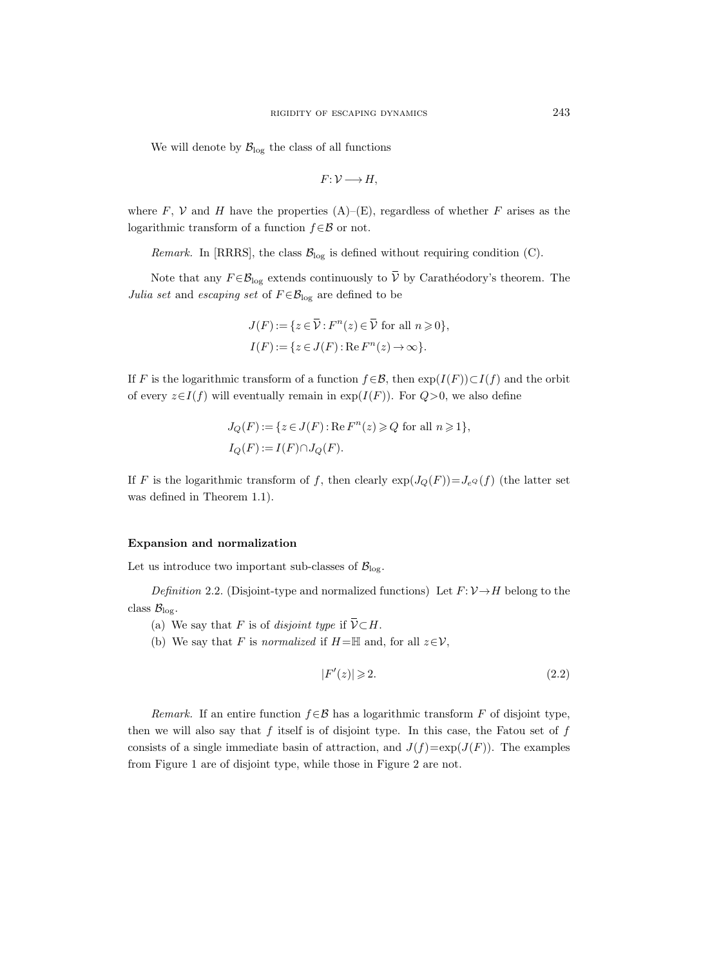We will denote by  $\mathcal{B}_{\text{log}}$  the class of all functions

$$
F\colon \mathcal{V}\longrightarrow H,
$$

where F, V and H have the properties  $(A)$ – $(E)$ , regardless of whether F arises as the logarithmic transform of a function  $f \in \mathcal{B}$  or not.

*Remark.* In [RRRS], the class  $\mathcal{B}_{\text{log}}$  is defined without requiring condition (C).

Note that any  $F \in \mathcal{B}_{\text{log}}$  extends continuously to  $\overline{V}$  by Carathéodory's theorem. The Julia set and escaping set of  $F \in \mathcal{B}_{\log}$  are defined to be

$$
J(F) := \{ z \in \overline{\mathcal{V}} : F^n(z) \in \overline{\mathcal{V}} \text{ for all } n \geqslant 0 \},
$$
  

$$
I(F) := \{ z \in J(F) : \text{Re } F^n(z) \to \infty \}.
$$

If F is the logarithmic transform of a function  $f \in \mathcal{B}$ , then  $exp(I(F)) \subset I(f)$  and the orbit of every  $z \in I(f)$  will eventually remain in  $exp(I(F))$ . For  $Q>0$ , we also define

$$
J_Q(F) := \{ z \in J(F) : \text{Re } F^n(z) \geqslant Q \text{ for all } n \geqslant 1 \},
$$
  

$$
I_Q(F) := I(F) \cap J_Q(F).
$$

If F is the logarithmic transform of f, then clearly  $\exp(J_Q(F))=J_{e^Q}(f)$  (the latter set was defined in Theorem 1.1).

## Expansion and normalization

Let us introduce two important sub-classes of  $\mathcal{B}_{\text{log}}$ .

Definition 2.2. (Disjoint-type and normalized functions) Let  $F: \mathcal{V} \rightarrow H$  belong to the class  $\mathcal{B}_{\log}$ .

- (a) We say that F is of disjoint type if  $\overline{V} \subset H$ .
- (b) We say that F is normalized if  $H=\mathbb{H}$  and, for all  $z\in\mathcal{V}$ ,

$$
|F'(z)| \geqslant 2. \tag{2.2}
$$

Remark. If an entire function  $f \in \mathcal{B}$  has a logarithmic transform F of disjoint type, then we will also say that  $f$  itself is of disjoint type. In this case, the Fatou set of  $f$ consists of a single immediate basin of attraction, and  $J(f)=\exp(J(F))$ . The examples from Figure 1 are of disjoint type, while those in Figure 2 are not.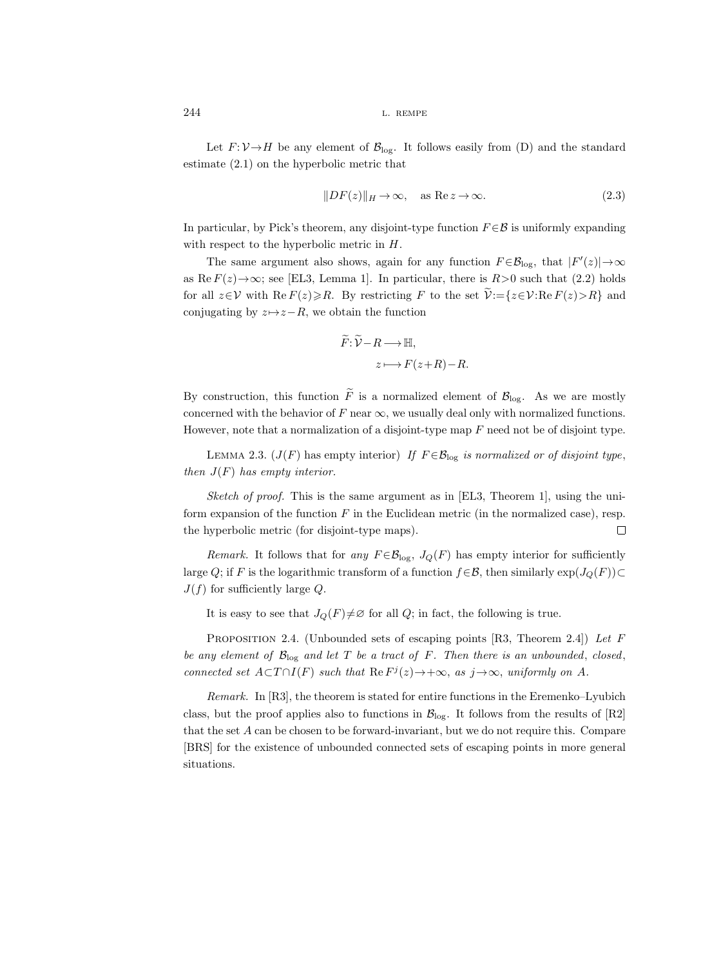Let  $F: V \to H$  be any element of  $\mathcal{B}_{\text{log}}$ . It follows easily from (D) and the standard estimate (2.1) on the hyperbolic metric that

$$
||DF(z)||_H \to \infty, \quad \text{as } \text{Re } z \to \infty.
$$
 (2.3)

In particular, by Pick's theorem, any disjoint-type function  $F \in \mathcal{B}$  is uniformly expanding with respect to the hyperbolic metric in  $H$ .

The same argument also shows, again for any function  $F \in \mathcal{B}_{log}$ , that  $|F'(z)| \to \infty$ as Re  $F(z) \rightarrow \infty$ ; see [EL3, Lemma 1]. In particular, there is  $R>0$  such that (2.2) holds for all  $z \in V$  with  $\text{Re } F(z) \ge R$ . By restricting F to the set  $\widetilde{\mathcal{V}} := \{z \in V : \text{Re } F(z) > R\}$  and conjugating by  $z \mapsto z-R$ , we obtain the function

$$
\widetilde{F}: \widetilde{\mathcal{V}} - R \longrightarrow \mathbb{H},
$$

$$
z \longmapsto F(z+R) - R.
$$

By construction, this function  $\widetilde{F}$  is a normalized element of  $\mathcal{B}_{\text{log}}$ . As we are mostly concerned with the behavior of F near  $\infty$ , we usually deal only with normalized functions. However, note that a normalization of a disjoint-type map  $F$  need not be of disjoint type.

LEMMA 2.3. ( $J(F)$  has empty interior) If  $F \in \mathcal{B}_{\log}$  is normalized or of disjoint type, then  $J(F)$  has empty interior.

Sketch of proof. This is the same argument as in [EL3, Theorem 1], using the uniform expansion of the function  $F$  in the Euclidean metric (in the normalized case), resp. the hyperbolic metric (for disjoint-type maps).  $\Box$ 

Remark. It follows that for any  $F \in \mathcal{B}_{\log}$ ,  $J_Q(F)$  has empty interior for sufficiently large Q; if F is the logarithmic transform of a function  $f \in \mathcal{B}$ , then similarly  $\exp(J_{Q}(F)) \subset$  $J(f)$  for sufficiently large Q.

It is easy to see that  $J_Q(F) \neq \emptyset$  for all Q; in fact, the following is true.

PROPOSITION 2.4. (Unbounded sets of escaping points [R3, Theorem 2.4]) Let  $F$ be any element of  $\mathcal{B}_{\log}$  and let T be a tract of F. Then there is an unbounded, closed, connected set  $A \subset T \cap I(F)$  such that  $\text{Re } F^j(z) \to +\infty$ , as  $j \to \infty$ , uniformly on A.

Remark. In [R3], the theorem is stated for entire functions in the Eremenko–Lyubich class, but the proof applies also to functions in  $\mathcal{B}_{\text{log}}$ . It follows from the results of [R2] that the set A can be chosen to be forward-invariant, but we do not require this. Compare [BRS] for the existence of unbounded connected sets of escaping points in more general situations.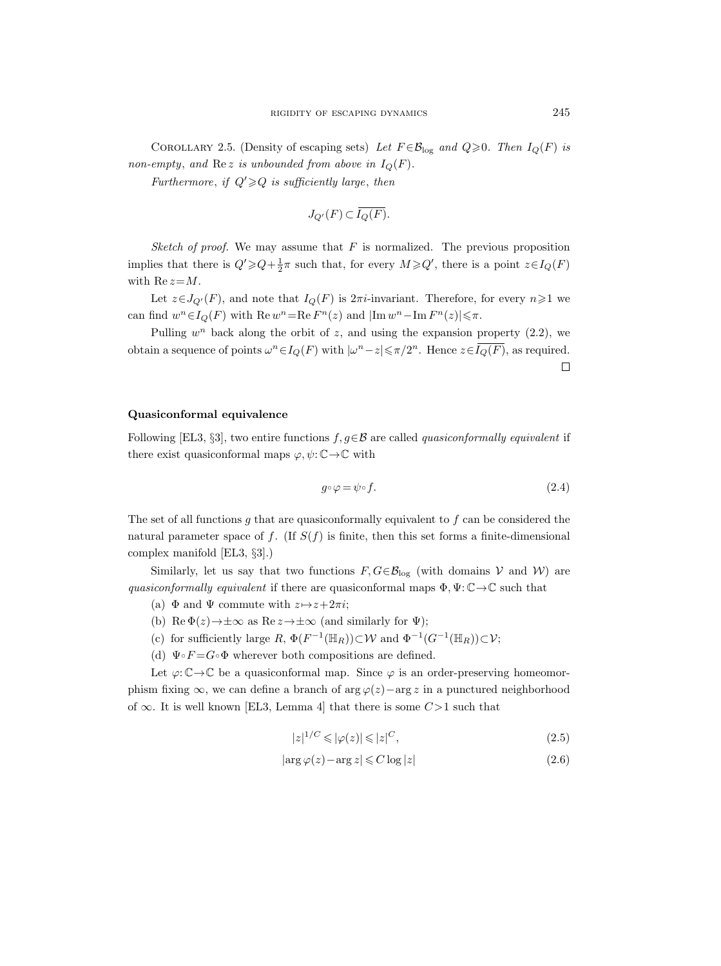COROLLARY 2.5. (Density of escaping sets) Let  $F \in \mathcal{B}_{\log}$  and  $Q \ge 0$ . Then  $I_Q(F)$  is non-empty, and Re z is unbounded from above in  $I_Q(F)$ .

Furthermore, if  $Q' \geq Q$  is sufficiently large, then

$$
J_{Q'}(F) \subset \overline{I_Q(F)}.
$$

Sketch of proof. We may assume that  $F$  is normalized. The previous proposition implies that there is  $Q' \geqslant Q + \frac{1}{2}\pi$  such that, for every  $M \geqslant Q'$ , there is a point  $z \in I_Q(F)$ with  $\text{Re } z = M$ .

Let  $z \in J_{Q'}(F)$ , and note that  $I_Q(F)$  is  $2\pi i$ -invariant. Therefore, for every  $n \geq 1$  we can find  $w^n \in I_Q(F)$  with  $\text{Re } w^n = \text{Re } F^n(z)$  and  $|\text{Im } w^n - \text{Im } F^n(z)| \leq \pi$ .

Pulling  $w<sup>n</sup>$  back along the orbit of z, and using the expansion property  $(2.2)$ , we obtain a sequence of points  $\omega^n \in I_Q(F)$  with  $|\omega^n - z| \leq \pi/2^n$ . Hence  $z \in \overline{I_Q(F)}$ , as required.  $\Box$ 

### Quasiconformal equivalence

Following [EL3, §3], two entire functions  $f, g \in \mathcal{B}$  are called *quasiconformally equivalent* if there exist quasiconformal maps  $\varphi, \psi \colon \mathbb{C} \to \mathbb{C}$  with

$$
g \circ \varphi = \psi \circ f. \tag{2.4}
$$

The set of all functions  $g$  that are quasiconformally equivalent to  $f$  can be considered the natural parameter space of f. (If  $S(f)$  is finite, then this set forms a finite-dimensional complex manifold [EL3, §3].)

Similarly, let us say that two functions  $F, G \in \mathcal{B}_{\text{log}}$  (with domains V and W) are quasiconformally equivalent if there are quasiconformal maps  $\Phi, \Psi \colon \mathbb{C} \to \mathbb{C}$  such that

- (a)  $\Phi$  and  $\Psi$  commute with  $z \mapsto z+2\pi i$ ;
- (b) Re  $\Phi(z) \rightarrow \pm \infty$  as Re  $z \rightarrow \pm \infty$  (and similarly for  $\Psi$ );
- (c) for sufficiently large  $R, \Phi(F^{-1}(\mathbb{H}_R)) \subset \mathcal{W}$  and  $\Phi^{-1}(G^{-1}(\mathbb{H}_R)) \subset \mathcal{V}$ ;
- (d)  $\Psi \circ F = G \circ \Phi$  wherever both compositions are defined.

Let  $\varphi: \mathbb{C} \to \mathbb{C}$  be a quasiconformal map. Since  $\varphi$  is an order-preserving homeomorphism fixing  $\infty$ , we can define a branch of arg  $\varphi(z)$  -arg z in a punctured neighborhood of ∞. It is well known [EL3, Lemma 4] that there is some  $C>1$  such that

$$
|z|^{1/C} \leqslant |\varphi(z)| \leqslant |z|^C,\tag{2.5}
$$

$$
|\arg \varphi(z) - \arg z| \leq C \log |z| \tag{2.6}
$$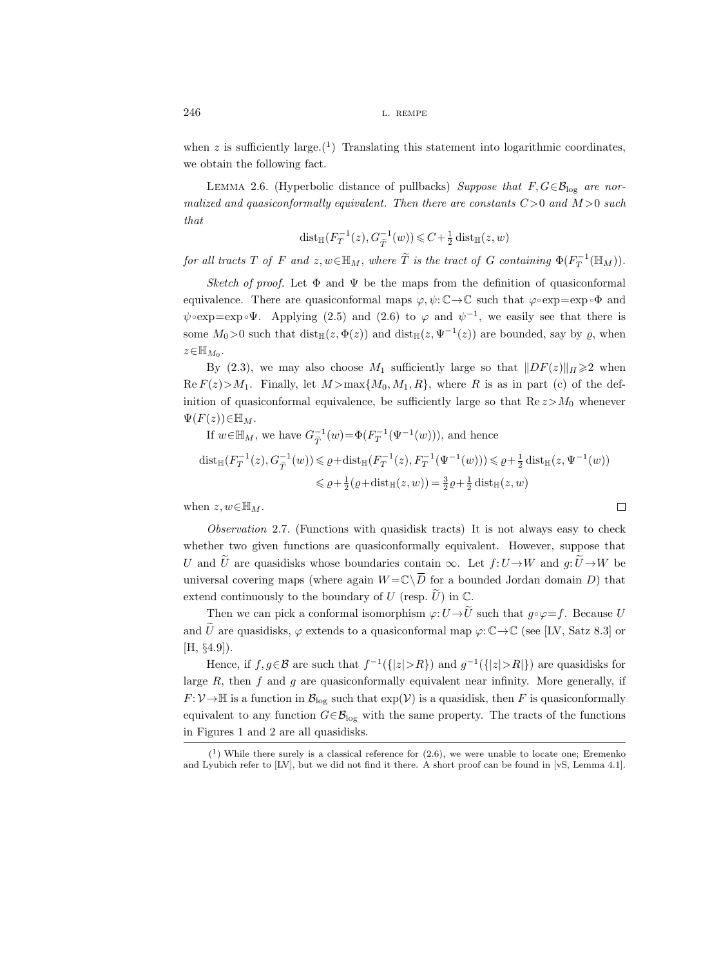when z is sufficiently large.<sup>(1</sup>) Translating this statement into logarithmic coordinates, we obtain the following fact.

LEMMA 2.6. (Hyperbolic distance of pullbacks) Suppose that  $F, G \in \mathcal{B}_{\log}$  are normalized and quasiconformally equivalent. Then there are constants  $C>0$  and  $M>0$  such that

$$
\mathrm{dist}_{\mathbb{H}}(F_T^{-1}(z), G_{\widetilde{T}}^{-1}(w)) \leq C + \frac{1}{2} \mathrm{dist}_{\mathbb{H}}(z, w)
$$

for all tracts T of F and  $z, w \in \mathbb{H}_M$ , where  $\widetilde{T}$  is the tract of G containing  $\Phi(F_T^{-1}(\mathbb{H}_M))$ .

Sketch of proof. Let  $\Phi$  and  $\Psi$  be the maps from the definition of quasiconformal equivalence. There are quasiconformal maps  $\varphi, \psi: \mathbb{C} \to \mathbb{C}$  such that  $\varphi \circ \exp = \exp \circ \Phi$  and  $\psi \circ \exp = \exp \circ \Psi$ . Applying (2.5) and (2.6) to  $\varphi$  and  $\psi^{-1}$ , we easily see that there is some  $M_0 > 0$  such that  $dist_{\mathbb{H}}(z, \Phi(z))$  and  $dist_{\mathbb{H}}(z, \Psi^{-1}(z))$  are bounded, say by  $\varrho$ , when  $z \in \mathbb{H}_{M_0}$ .

By (2.3), we may also choose  $M_1$  sufficiently large so that  $||DF(z)||_H \ge 2$  when  $\text{Re } F(z) > M_1$ . Finally, let  $M > \max\{M_0, M_1, R\}$ , where R is as in part (c) of the definition of quasiconformal equivalence, be sufficiently large so that  $\text{Re } z > M_0$  whenever  $\Psi(F(z))\in\mathbb{H}_M$ .

If 
$$
w \in \mathbb{H}_M
$$
, we have  $G_{\tilde{T}}^{-1}(w) = \Phi(F_T^{-1}(\Psi^{-1}(w))),$  and hence\n
$$
\text{dist}_{\mathbb{H}}(F_T^{-1}(z), G_{\tilde{T}}^{-1}(w)) \leq \varrho + \text{dist}_{\mathbb{H}}(F_T^{-1}(z), F_T^{-1}(\Psi^{-1}(w))) \leq \varrho + \frac{1}{2} \text{dist}_{\mathbb{H}}(z, \Psi^{-1}(w))
$$
\n
$$
\leq \varrho + \frac{1}{2}(\varrho + \text{dist}_{\mathbb{H}}(z, w)) = \frac{3}{2}\varrho + \frac{1}{2} \text{dist}_{\mathbb{H}}(z, w)
$$
\nThen  $z, w \in \mathbb{H}_M$ .

when  $z, w \in \mathbb{H}_M$ .

Observation 2.7. (Functions with quasidisk tracts) It is not always easy to check whether two given functions are quasiconformally equivalent. However, suppose that U and  $\tilde{U}$  are quasidisks whose boundaries contain  $\infty$ . Let  $f:U\rightarrow W$  and  $q:\tilde{U}\rightarrow W$  be universal covering maps (where again  $W = \mathbb{C} \setminus \overline{D}$  for a bounded Jordan domain D) that extend continuously to the boundary of U (resp.  $\tilde{U}$ ) in C.

Then we can pick a conformal isomorphism  $\varphi: U \to \widetilde{U}$  such that  $g \circ \varphi = f$ . Because U and U are quasidisks,  $\varphi$  extends to a quasiconformal map  $\varphi: \mathbb{C} \to \mathbb{C}$  (see [LV, Satz 8.3] or [H, §4.9]).

Hence, if  $f, g \in \mathcal{B}$  are such that  $f^{-1}(\{|z| > R\})$  and  $g^{-1}(\{|z| > R\})$  are quasidisks for large  $R$ , then  $f$  and  $g$  are quasiconformally equivalent near infinity. More generally, if  $F: \mathcal{V} \to \mathbb{H}$  is a function in  $\mathcal{B}_{\log}$  such that  $\exp(\mathcal{V})$  is a quasidisk, then F is quasiconformally equivalent to any function  $G \in \mathcal{B}_{\text{log}}$  with the same property. The tracts of the functions in Figures 1 and 2 are all quasidisks.

 $(1)$  While there surely is a classical reference for  $(2.6)$ , we were unable to locate one; Eremenko and Lyubich refer to [LV], but we did not find it there. A short proof can be found in [vS, Lemma 4.1].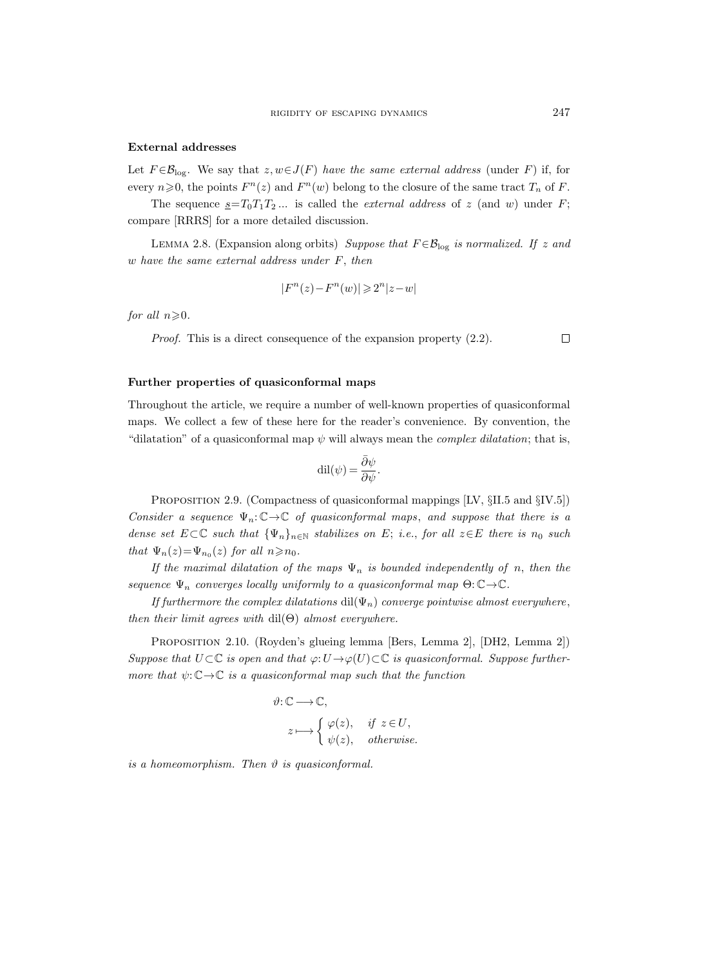#### External addresses

Let  $F \in \mathcal{B}_{\log}$ . We say that  $z, w \in J(F)$  have the same external address (under F) if, for every  $n \geq 0$ , the points  $F^n(z)$  and  $F^n(w)$  belong to the closure of the same tract  $T_n$  of F.

The sequence  $\underline{s}=T_0T_1T_2...$  is called the *external address* of z (and w) under F; compare [RRRS] for a more detailed discussion.

LEMMA 2.8. (Expansion along orbits) Suppose that  $F \in \mathcal{B}_{\log}$  is normalized. If z and w have the same external address under F, then

$$
|F^n(z) - F^n(w)| \geq 2^n |z - w|
$$

for all  $n\geqslant 0$ .

Proof. This is a direct consequence of the expansion property (2.2).

# Further properties of quasiconformal maps

Throughout the article, we require a number of well-known properties of quasiconformal maps. We collect a few of these here for the reader's convenience. By convention, the "dilatation" of a quasiconformal map  $\psi$  will always mean the *complex dilatation*; that is,

$$
\mathrm{dil}(\psi) = \frac{\bar{\partial}\psi}{\partial\psi}.
$$

PROPOSITION 2.9. (Compactness of quasiconformal mappings [LV,  $\S$ II.5 and  $\S$ IV.5]) Consider a sequence  $\Psi_n: \mathbb{C} \to \mathbb{C}$  of quasiconformal maps, and suppose that there is a dense set  $E\subset\mathbb{C}$  such that  $\{\Psi_n\}_{n\in\mathbb{N}}$  stabilizes on E; i.e., for all  $z\in E$  there is  $n_0$  such that  $\Psi_n(z) = \Psi_{n_0}(z)$  for all  $n \ge n_0$ .

If the maximal dilatation of the maps  $\Psi_n$  is bounded independently of n, then the sequence  $\Psi_n$  converges locally uniformly to a quasiconformal map  $\Theta: \mathbb{C} \to \mathbb{C}$ .

If furthermore the complex dilatations dil( $\Psi_n$ ) converge pointwise almost everywhere, then their limit agrees with  $\text{dil}(\Theta)$  almost everywhere.

Proposition 2.10. (Royden's glueing lemma [Bers, Lemma 2], [DH2, Lemma 2]) Suppose that  $U \subset \mathbb{C}$  is open and that  $\varphi: U \to \varphi(U) \subset \mathbb{C}$  is quasiconformal. Suppose furthermore that  $\psi: \mathbb{C} \to \mathbb{C}$  is a quasiconformal map such that the function

$$
\vartheta: \mathbb{C} \longrightarrow \mathbb{C},
$$
  
\n
$$
z \longmapsto \begin{cases} \varphi(z), & \text{if } z \in U, \\ \psi(z), & \text{otherwise.} \end{cases}
$$

is a homeomorphism. Then  $\vartheta$  is quasiconformal.

 $\Box$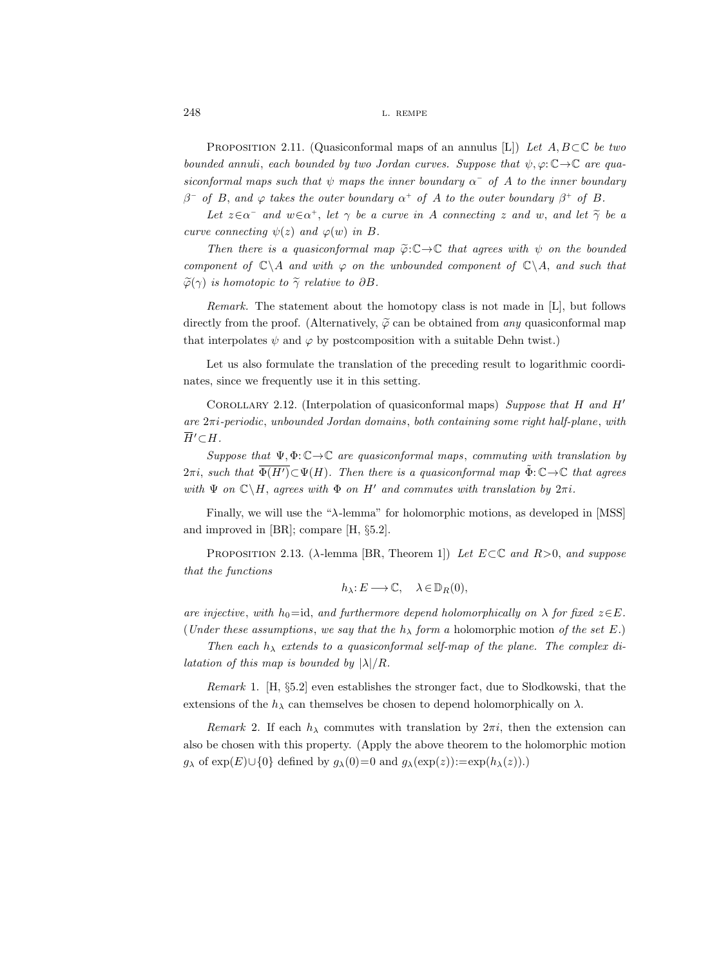PROPOSITION 2.11. (Quasiconformal maps of an annulus [L]) Let  $A, B \subset \mathbb{C}$  be two bounded annuli, each bounded by two Jordan curves. Suppose that  $\psi, \varphi : \mathbb{C} \to \mathbb{C}$  are quasiconformal maps such that  $\psi$  maps the inner boundary  $\alpha^-$  of A to the inner boundary  $\beta^-$  of B, and  $\varphi$  takes the outer boundary  $\alpha^+$  of A to the outer boundary  $\beta^+$  of B.

Let  $z \in \alpha^-$  and  $w \in \alpha^+$ , let  $\gamma$  be a curve in A connecting z and w, and let  $\widetilde{\gamma}$  be a curve connecting  $\psi(z)$  and  $\varphi(w)$  in B.

Then there is a quasiconformal map  $\widetilde{\varphi}:\mathbb{C}\to\mathbb{C}$  that agrees with  $\psi$  on the bounded component of  $\mathbb{C}\backslash A$  and with  $\varphi$  on the unbounded component of  $\mathbb{C}\backslash A$ , and such that  $\widetilde{\varphi}(\gamma)$  is homotopic to  $\widetilde{\gamma}$  relative to  $\partial B$ .

Remark. The statement about the homotopy class is not made in [L], but follows directly from the proof. (Alternatively,  $\tilde{\varphi}$  can be obtained from any quasiconformal map that interpolates  $\psi$  and  $\varphi$  by postcomposition with a suitable Dehn twist.)

Let us also formulate the translation of the preceding result to logarithmic coordinates, since we frequently use it in this setting.

COROLLARY 2.12. (Interpolation of quasiconformal maps) Suppose that H and H' are  $2\pi i$ -periodic, unbounded Jordan domains, both containing some right half-plane, with  $\overline{H}$ <sup>'</sup> $\subset$  $H$ .

Suppose that  $\Psi, \Phi: \mathbb{C} \to \mathbb{C}$  are quasiconformal maps, commuting with translation by  $2\pi i$ , such that  $\overline{\Phi(H')} \subset \Psi(H)$ . Then there is a quasiconformal map  $\tilde{\Phi}: \mathbb{C} \to \mathbb{C}$  that agrees with  $\Psi$  on  $\mathbb{C}\backslash H$ , agrees with  $\Phi$  on  $H'$  and commutes with translation by  $2\pi i$ .

Finally, we will use the " $\lambda$ -lemma" for holomorphic motions, as developed in [MSS] and improved in [BR]; compare [H, §5.2].

PROPOSITION 2.13. ( $\lambda$ -lemma [BR, Theorem 1]) Let  $E \subset \mathbb{C}$  and  $R > 0$ , and suppose that the functions

$$
h_{\lambda} : E \longrightarrow \mathbb{C}, \quad \lambda \in \mathbb{D}_R(0),
$$

are injective, with h<sub>0</sub>=id, and furthermore depend holomorphically on  $\lambda$  for fixed  $z \in E$ . (Under these assumptions, we say that the  $h_{\lambda}$  form a holomorphic motion of the set E.)

Then each  $h_{\lambda}$  extends to a quasiconformal self-map of the plane. The complex dilatation of this map is bounded by  $|\lambda|/R$ .

Remark 1. [H,  $\S5.2$ ] even establishes the stronger fact, due to Słodkowski, that the extensions of the  $h_{\lambda}$  can themselves be chosen to depend holomorphically on  $\lambda$ .

Remark 2. If each  $h_{\lambda}$  commutes with translation by  $2\pi i$ , then the extension can also be chosen with this property. (Apply the above theorem to the holomorphic motion  $g_{\lambda}$  of exp(E)∪{0} defined by  $g_{\lambda}(0)=0$  and  $g_{\lambda}(\exp(z)):=\exp(h_{\lambda}(z))$ .)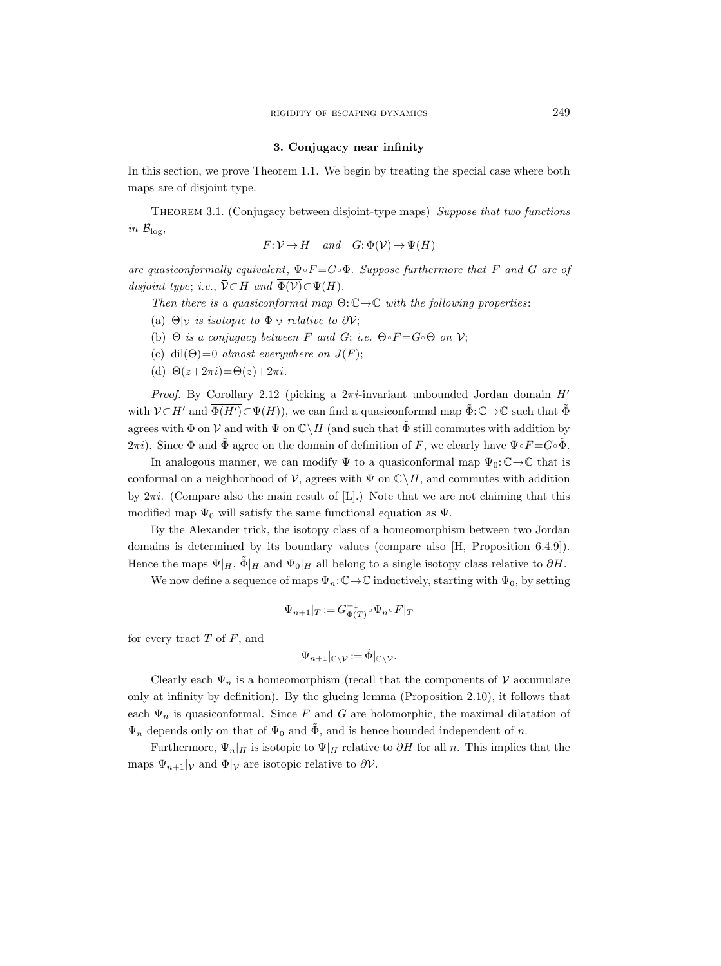#### 3. Conjugacy near infinity

In this section, we prove Theorem 1.1. We begin by treating the special case where both maps are of disjoint type.

Theorem 3.1. (Conjugacy between disjoint-type maps) Suppose that two functions in  $\mathcal{B}_{\log}$ ,

$$
F: \mathcal{V} \to H \quad and \quad G: \Phi(\mathcal{V}) \to \Psi(H)
$$

are quasiconformally equivalent,  $\Psi \circ F = G \circ \Phi$ . Suppose furthermore that F and G are of disjoint type; i.e.,  $\overline{\mathcal{V}} \subset H$  and  $\overline{\Phi(\mathcal{V})} \subset \Psi(H)$ .

Then there is a quasiconformal map  $\Theta: \mathbb{C} \to \mathbb{C}$  with the following properties:

- (a)  $\Theta|_{\mathcal{V}}$  is isotopic to  $\Phi|_{\mathcal{V}}$  relative to  $\partial \mathcal{V}$ ;
- (b)  $\Theta$  is a conjugacy between F and G; i.e.  $\Theta \circ F = G \circ \Theta$  on V;
- (c) dil( $\Theta$ )=0 almost everywhere on  $J(F)$ ;
- (d)  $\Theta(z+2\pi i) = \Theta(z)+2\pi i$ .

*Proof.* By Corollary 2.12 (picking a  $2\pi i$ -invariant unbounded Jordan domain H' with  $V \subset H'$  and  $\overline{\Phi(H')} \subset \Psi(H)$ , we can find a quasiconformal map  $\tilde{\Phi}: \mathbb{C} \to \mathbb{C}$  such that  $\tilde{\Phi}$ agrees with  $\Phi$  on  $\mathcal V$  and with  $\Psi$  on  $\mathbb C\setminus H$  (and such that  $\tilde\Phi$  still commutes with addition by  $2\pi i$ ). Since  $\Phi$  and  $\tilde{\Phi}$  agree on the domain of definition of F, we clearly have  $\Psi \circ F = G \circ \tilde{\Phi}$ .

In analogous manner, we can modify  $\Psi$  to a quasiconformal map  $\Psi_0: \mathbb{C} \to \mathbb{C}$  that is conformal on a neighborhood of  $\overline{\mathcal{V}}$ , agrees with  $\Psi$  on  $\mathbb{C}\backslash H$ , and commutes with addition by  $2\pi i$ . (Compare also the main result of [L].) Note that we are not claiming that this modified map  $\Psi_0$  will satisfy the same functional equation as  $\Psi$ .

By the Alexander trick, the isotopy class of a homeomorphism between two Jordan domains is determined by its boundary values (compare also [H, Proposition 6.4.9]). Hence the maps  $\Psi|_H$ ,  $\tilde{\Phi}|_H$  and  $\Psi_0|_H$  all belong to a single isotopy class relative to  $\partial H$ .

We now define a sequence of maps  $\Psi_n: \mathbb{C} \to \mathbb{C}$  inductively, starting with  $\Psi_0$ , by setting

$$
\Psi_{n+1}|_T\mathbin{:=} G_{\Phi(T)}^{-1}\circ \Psi_n\circ F|_T
$$

for every tract  $T$  of  $F$ , and

$$
\Psi_{n+1}|_{\mathbb{C}\setminus \mathcal{V}}:=\tilde{\Phi}|_{\mathbb{C}\setminus \mathcal{V}}.
$$

Clearly each  $\Psi_n$  is a homeomorphism (recall that the components of V accumulate only at infinity by definition). By the glueing lemma (Proposition 2.10), it follows that each  $\Psi_n$  is quasiconformal. Since F and G are holomorphic, the maximal dilatation of  $\Psi_n$  depends only on that of  $\Psi_0$  and  $\tilde{\Phi}$ , and is hence bounded independent of n.

Furthermore,  $\Psi_n|_H$  is isotopic to  $\Psi|_H$  relative to  $\partial H$  for all n. This implies that the maps  $\Psi_{n+1}|_{\mathcal{V}}$  and  $\Phi|_{\mathcal{V}}$  are isotopic relative to  $\partial \mathcal{V}$ .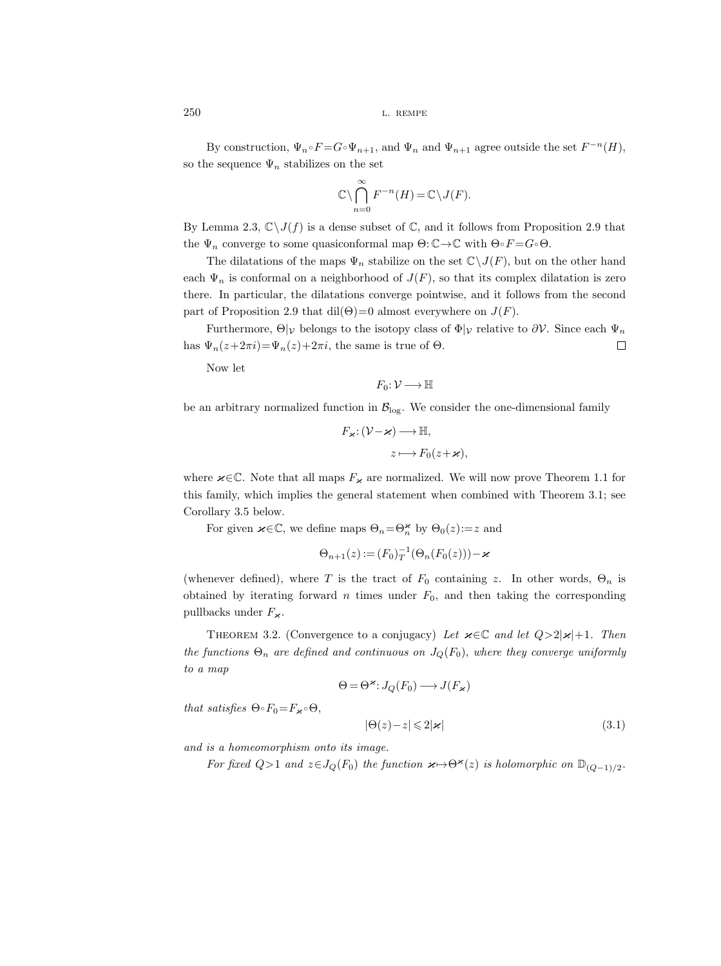By construction,  $\Psi_n \circ F = G \circ \Psi_{n+1}$ , and  $\Psi_n$  and  $\Psi_{n+1}$  agree outside the set  $F^{-n}(H)$ , so the sequence  $\Psi_n$  stabilizes on the set

$$
\mathbb{C}\setminus \bigcap_{n=0}^{\infty} F^{-n}(H) = \mathbb{C}\setminus J(F).
$$

By Lemma 2.3,  $\mathbb{C}\setminus J(f)$  is a dense subset of  $\mathbb{C}$ , and it follows from Proposition 2.9 that the  $\Psi_n$  converge to some quasiconformal map  $\Theta: \mathbb{C} \to \mathbb{C}$  with  $\Theta \circ F = G \circ \Theta$ .

The dilatations of the maps  $\Psi_n$  stabilize on the set  $\mathbb{C}\setminus J(F)$ , but on the other hand each  $\Psi_n$  is conformal on a neighborhood of  $J(F)$ , so that its complex dilatation is zero there. In particular, the dilatations converge pointwise, and it follows from the second part of Proposition 2.9 that dil $(\Theta)$ =0 almost everywhere on  $J(F)$ .

Furthermore,  $\Theta|_{\mathcal{V}}$  belongs to the isotopy class of  $\Phi|_{\mathcal{V}}$  relative to  $\partial \mathcal{V}$ . Since each  $\Psi_n$ has  $\Psi_n(z+2\pi i) = \Psi_n(z)+2\pi i$ , the same is true of  $\Theta$ .  $\Box$ 

Now let

$$
F_0\colon \mathcal{V}\longrightarrow \mathbb{H}
$$

be an arbitrary normalized function in  $\mathcal{B}_{\text{log}}$ . We consider the one-dimensional family

$$
F_{\varkappa}: (\mathcal{V} - \varkappa) \longrightarrow \mathbb{H},
$$
  

$$
z \longmapsto F_0(z + \varkappa),
$$

where  $\varkappa \in \mathbb{C}$ . Note that all maps  $F_{\varkappa}$  are normalized. We will now prove Theorem 1.1 for this family, which implies the general statement when combined with Theorem 3.1; see Corollary 3.5 below.

For given  $\varkappa \in \mathbb{C}$ , we define maps  $\Theta_n = \Theta_n^{\varkappa}$  by  $\Theta_0(z) := z$  and

$$
\Theta_{n+1}(z) := (F_0)_T^{-1}(\Theta_n(F_0(z))) - \varkappa
$$

(whenever defined), where T is the tract of  $F_0$  containing z. In other words,  $\Theta_n$  is obtained by iterating forward  $n$  times under  $F_0$ , and then taking the corresponding pullbacks under  $F_{\varkappa}$ .

THEOREM 3.2. (Convergence to a conjugacy) Let  $\varkappa \in \mathbb{C}$  and let  $Q>2|\varkappa|+1$ . Then the functions  $\Theta_n$  are defined and continuous on  $J_Q(F_0)$ , where they converge uniformly to a map

$$
\Theta = \Theta^{\varkappa} : J_Q(F_0) \longrightarrow J(F_{\varkappa})
$$

that satisfies  $\Theta \circ F_0 = F_{\varkappa} \circ \Theta$ ,

$$
|\Theta(z) - z| \leq 2|\varkappa| \tag{3.1}
$$

and is a homeomorphism onto its image.

For fixed  $Q>1$  and  $z\in J_Q(F_0)$  the function  $\varkappa \mapsto \Theta^{\varkappa}(z)$  is holomorphic on  $\mathbb{D}_{(Q-1)/2}$ .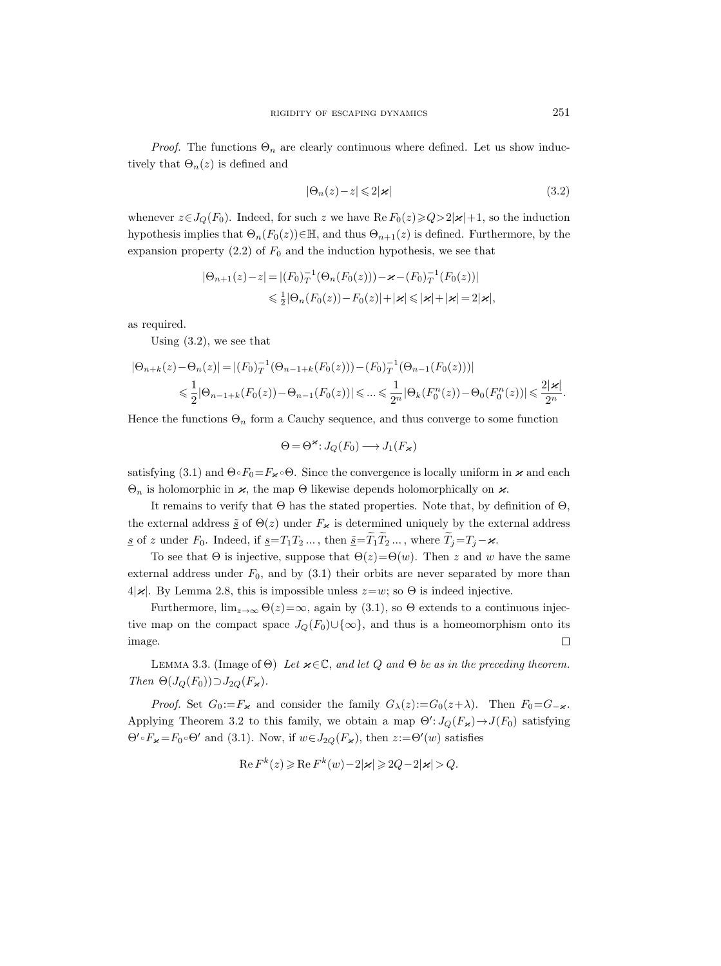*Proof.* The functions  $\Theta_n$  are clearly continuous where defined. Let us show inductively that  $\Theta_n(z)$  is defined and

$$
|\Theta_n(z) - z| \leq 2|\varkappa| \tag{3.2}
$$

whenever  $z \in J_Q(F_0)$ . Indeed, for such z we have  $\text{Re } F_0(z) \geqslant Q>2|\varkappa|+1$ , so the induction hypothesis implies that  $\Theta_n(F_0(z))\in\mathbb{H}$ , and thus  $\Theta_{n+1}(z)$  is defined. Furthermore, by the expansion property (2.2) of  $F_0$  and the induction hypothesis, we see that

$$
|\Theta_{n+1}(z)-z| = |(F_0)_T^{-1}(\Theta_n(F_0(z))) - \varkappa - (F_0)_T^{-1}(F_0(z))|
$$
  

$$
\leq \frac{1}{2} |\Theta_n(F_0(z)) - F_0(z)| + |\varkappa| \leq |\varkappa| + |\varkappa| = 2|\varkappa|,
$$

as required.

Using (3.2), we see that

$$
|\Theta_{n+k}(z) - \Theta_n(z)| = |(F_0)_T^{-1}(\Theta_{n-1+k}(F_0(z))) - (F_0)_T^{-1}(\Theta_{n-1}(F_0(z)))|
$$
  

$$
\leq \frac{1}{2} |\Theta_{n-1+k}(F_0(z)) - \Theta_{n-1}(F_0(z))| \leq \dots \leq \frac{1}{2^n} |\Theta_k(F_0^n(z)) - \Theta_0(F_0^n(z))| \leq \frac{2|\varkappa|}{2^n}.
$$

Hence the functions  $\Theta_n$  form a Cauchy sequence, and thus converge to some function

$$
\Theta = \Theta^{\varkappa} : J_Q(F_0) \longrightarrow J_1(F_{\varkappa})
$$

satisfying (3.1) and  $\Theta \circ F_0 = F_{\kappa} \circ \Theta$ . Since the convergence is locally uniform in  $\varkappa$  and each  $\Theta_n$  is holomorphic in  $\varkappa$ , the map  $\Theta$  likewise depends holomorphically on  $\varkappa$ .

It remains to verify that  $\Theta$  has the stated properties. Note that, by definition of  $\Theta$ , the external address  $\tilde{s}$  of  $\Theta(z)$  under  $F_{\varkappa}$  is determined uniquely by the external address <u>s</u> of z under  $F_0$ . Indeed, if  $\underline{s}=T_1T_2 \dots$ , then  $\underline{\tilde{s}}=\widetilde{T}_1\widetilde{T}_2 \dots$ , where  $\widetilde{T}_j=T_j-\varkappa$ .

To see that  $\Theta$  is injective, suppose that  $\Theta(z) = \Theta(w)$ . Then z and w have the same external address under  $F_0$ , and by  $(3.1)$  their orbits are never separated by more than  $4|\varkappa|$ . By Lemma 2.8, this is impossible unless  $z=w$ ; so  $\Theta$  is indeed injective.

Furthermore,  $\lim_{z\to\infty} \Theta(z)=\infty$ , again by (3.1), so  $\Theta$  extends to a continuous injective map on the compact space  $J_Q(F_0) \cup \{\infty\}$ , and thus is a homeomorphism onto its image.  $\Box$ 

LEMMA 3.3. (Image of  $\Theta$ ) Let  $\varkappa \in \mathbb{C}$ , and let Q and  $\Theta$  be as in the preceding theorem. Then  $\Theta(J_Q(F_0)) \supset J_{2Q}(F_{\varkappa}).$ 

*Proof.* Set  $G_0 := F_{\varkappa}$  and consider the family  $G_{\lambda}(z) := G_0(z+\lambda)$ . Then  $F_0 = G_{-\varkappa}$ . Applying Theorem 3.2 to this family, we obtain a map  $\Theta' : J_Q(F_{\varkappa}) \to J(F_0)$  satisfying  $\Theta' \circ F_{\varkappa} = F_0 \circ \Theta'$  and (3.1). Now, if  $w \in J_{2Q}(F_{\varkappa})$ , then  $z := \Theta'(w)$  satisfies

$$
\operatorname{Re} F^k(z) \geqslant \operatorname{Re} F^k(w) - 2|\varkappa| \geqslant 2Q - 2|\varkappa| > Q.
$$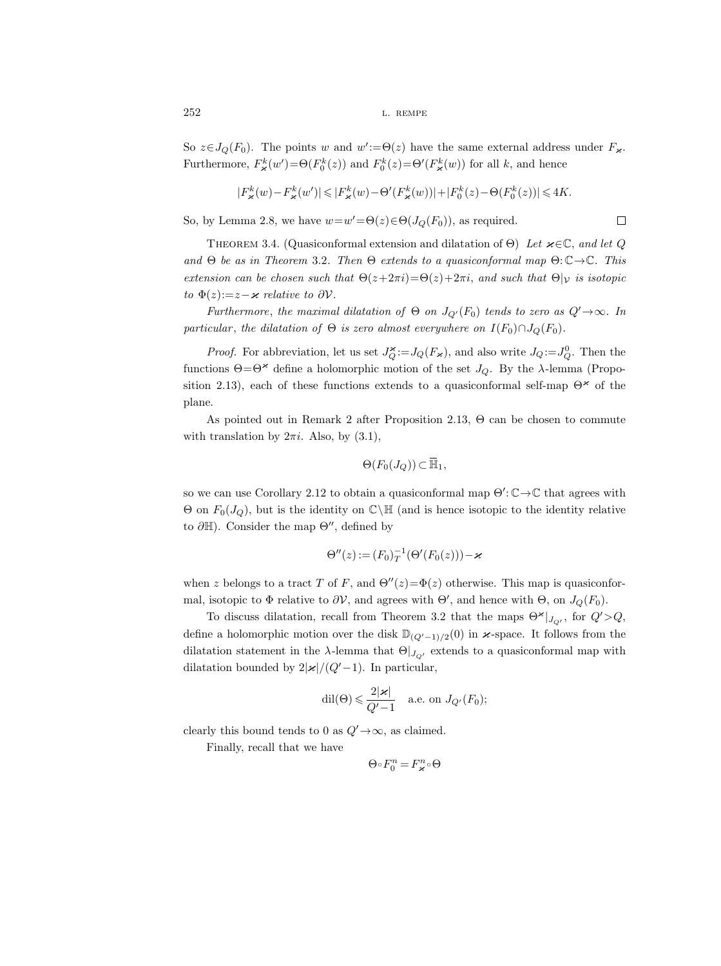So  $z \in J_Q(F_0)$ . The points w and  $w' := \Theta(z)$  have the same external address under  $F_{\varkappa}$ . Furthermore,  $F^k_\n\t\varkappa(w') = \Theta(F^k_0(z))$  and  $F^k_0(z) = \Theta'(F^k_\n\t\varkappa(w))$  for all k, and hence

$$
|F_{\varkappa}^k(w)-F_{\varkappa}^k(w')|\leqslant |F_{\varkappa}^k(w)-\Theta'(F_{\varkappa}^k(w))|+|F_0^k(z)-\Theta(F_0^k(z))|\leqslant 4K.
$$

 $\Box$ 

So, by Lemma 2.8, we have  $w=w' = \Theta(z) \in \Theta(J_Q(F_0))$ , as required.

THEOREM 3.4. (Quasiconformal extension and dilatation of  $\Theta$ ) Let  $\varkappa \in \mathbb{C}$ , and let Q and  $\Theta$  be as in Theorem 3.2. Then  $\Theta$  extends to a quasiconformal map  $\Theta: \mathbb{C} \rightarrow \mathbb{C}$ . This extension can be chosen such that  $\Theta(z+2\pi i)=\Theta(z)+2\pi i$ , and such that  $\Theta|_{\mathcal{V}}$  is isotopic to  $\Phi(z) := z - \varkappa$  relative to  $\partial \mathcal{V}$ .

Furthermore, the maximal dilatation of  $\Theta$  on  $J_{Q'}(F_0)$  tends to zero as  $Q' \rightarrow \infty$ . In particular, the dilatation of  $\Theta$  is zero almost everywhere on  $I(F_0) \cap J_Q(F_0)$ .

*Proof.* For abbreviation, let us set  $J_Q^{\varkappa} := J_Q(F_{\varkappa})$ , and also write  $J_Q := J_Q^0$ . Then the functions  $\Theta = \Theta^*$  define a holomorphic motion of the set  $J_Q$ . By the  $\lambda$ -lemma (Proposition 2.13), each of these functions extends to a quasiconformal self-map  $\Theta^*$  of the plane.

As pointed out in Remark 2 after Proposition 2.13, Θ can be chosen to commute with translation by  $2\pi i$ . Also, by  $(3.1)$ ,

$$
\Theta(F_0(J_Q))\subset\overline{\mathbb{H}}_1,
$$

so we can use Corollary 2.12 to obtain a quasiconformal map  $\Theta' : \mathbb{C} \to \mathbb{C}$  that agrees with  $\Theta$  on  $F_0(J_Q)$ , but is the identity on  $\mathbb{C}\backslash\mathbb{H}$  (and is hence isotopic to the identity relative to  $\partial \mathbb{H}$ ). Consider the map  $\Theta''$ , defined by

$$
\Theta''(z) := (F_0)_T^{-1}(\Theta'(F_0(z))) - \varkappa
$$

when z belongs to a tract T of F, and  $\Theta''(z)=\Phi(z)$  otherwise. This map is quasiconformal, isotopic to  $\Phi$  relative to  $\partial \mathcal{V}$ , and agrees with  $\Theta'$ , and hence with  $\Theta$ , on  $J_Q(F_0)$ .

To discuss dilatation, recall from Theorem 3.2 that the maps  $\Theta^{\varkappa}|_{J_{Q'}}$ , for  $Q' > Q$ , define a holomorphic motion over the disk  $\mathbb{D}_{(Q'-1)/2}(0)$  in  $\varkappa$ -space. It follows from the dilatation statement in the  $\lambda$ -lemma that  $\Theta|_{J_{Q'}}$  extends to a quasiconformal map with dilatation bounded by  $2|\varkappa|/(Q'-1)$ . In particular,

$$
\mathrm{dil}(\Theta)\leqslant \frac{2|\varkappa|}{Q'-1}\quad \text{a.e. on }J_{Q'}(F_0);
$$

clearly this bound tends to 0 as  $Q' \rightarrow \infty$ , as claimed.

Finally, recall that we have

$$
\Theta \circ F_0^n = F_\varkappa^n \circ \Theta
$$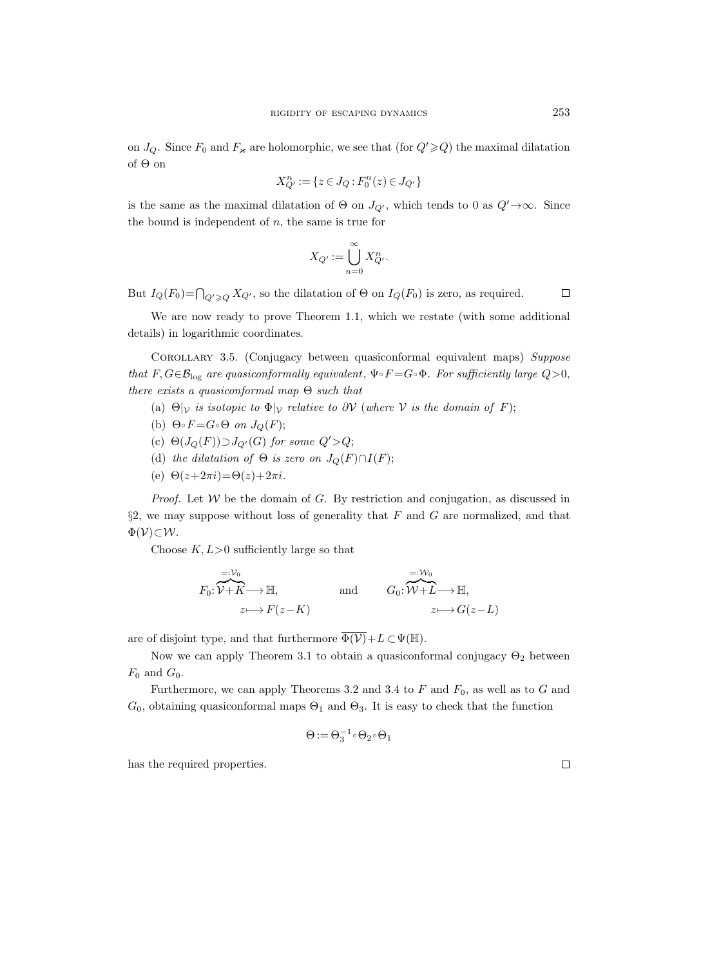on  $J_Q$ . Since  $F_0$  and  $F_{\varkappa}$  are holomorphic, we see that (for  $Q' \geq Q$ ) the maximal dilatation of Θ on

$$
X_{Q'}^{n} := \{ z \in J_Q : F_0^{n}(z) \in J_{Q'} \}
$$

is the same as the maximal dilatation of  $\Theta$  on  $J_{Q'}$ , which tends to 0 as  $Q' \to \infty$ . Since the bound is independent of  $n$ , the same is true for

$$
X_{Q'} := \bigcup_{n=0}^{\infty} X_{Q'}^n.
$$

But  $I_Q(F_0) = \bigcap_{Q' \geq Q} X_{Q'}$ , so the dilatation of  $\Theta$  on  $I_Q(F_0)$  is zero, as required.

We are now ready to prove Theorem 1.1, which we restate (with some additional details) in logarithmic coordinates.

Corollary 3.5. (Conjugacy between quasiconformal equivalent maps) Suppose that  $F, G \in \mathcal{B}_{\log}$  are quasiconformally equivalent,  $\Psi \circ F = G \circ \Phi$ . For sufficiently large  $Q > 0$ , there exists a quasiconformal map  $\Theta$  such that

- (a)  $\Theta|_{\mathcal{V}}$  is isotopic to  $\Phi|_{\mathcal{V}}$  relative to  $\partial \mathcal{V}$  (where  $\mathcal{V}$  is the domain of F);
- (b)  $\Theta \circ F = G \circ \Theta$  on  $J_Q(F)$ ;
- (c)  $\Theta(J_Q(F)) \supset J_{Q'}(G)$  for some  $Q' > Q$ ;
- (d) the dilatation of  $\Theta$  is zero on  $J_Q(F) \cap I(F)$ ;
- (e)  $\Theta(z+2\pi i) = \Theta(z)+2\pi i$ .

*Proof.* Let  $W$  be the domain of  $G$ . By restriction and conjugation, as discussed in  $\S2$ , we may suppose without loss of generality that F and G are normalized, and that  $\Phi(\mathcal{V})\subset \mathcal{W}$ .

Choose  $K, L>0$  sufficiently large so that

$$
F_0: \overbrace{\mathcal{V} + K}^{=: \mathcal{V}_0} \longrightarrow \mathbb{H}, \quad \text{and} \quad G_0: \overbrace{\mathcal{W} + L}^{:=:\mathcal{W}_0} \longrightarrow \mathbb{H},
$$
  

$$
z \longmapsto F(z - K) \quad z \longmapsto G(z - L)
$$

are of disjoint type, and that furthermore  $\overline{\Phi(V)}+L \subset \Psi(\mathbb{H}).$ 

Now we can apply Theorem 3.1 to obtain a quasiconformal conjugacy  $\Theta_2$  between  $F_0$  and  $G_0$ .

Furthermore, we can apply Theorems 3.2 and 3.4 to  $F$  and  $F_0$ , as well as to  $G$  and  $G_0$ , obtaining quasiconformal maps  $\Theta_1$  and  $\Theta_3$ . It is easy to check that the function

$$
\Theta\!:=\Theta_3^{-1}\!\circ\!\Theta_2\!\circ\!\Theta_1
$$

has the required properties.

 $\Box$ 

 $\Box$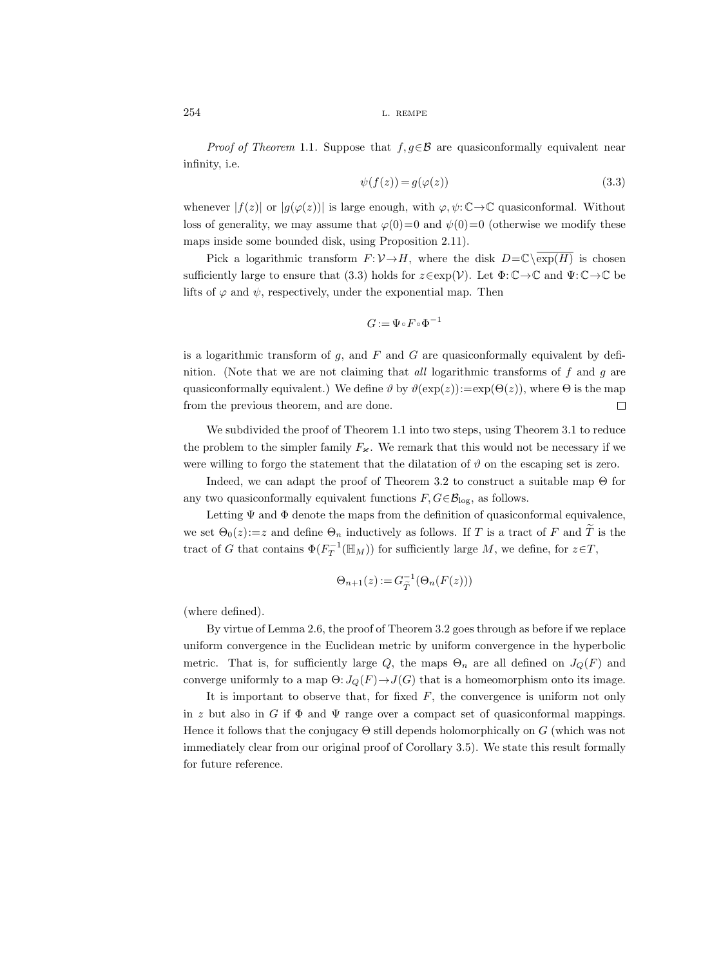*Proof of Theorem* 1.1. Suppose that  $f, g \in \mathcal{B}$  are quasiconformally equivalent near infinity, i.e.

$$
\psi(f(z)) = g(\varphi(z))\tag{3.3}
$$

whenever  $|f(z)|$  or  $|g(\varphi(z))|$  is large enough, with  $\varphi, \psi: \mathbb{C} \to \mathbb{C}$  quasiconformal. Without loss of generality, we may assume that  $\varphi(0)=0$  and  $\psi(0)=0$  (otherwise we modify these maps inside some bounded disk, using Proposition 2.11).

Pick a logarithmic transform  $F: V \to H$ , where the disk  $D=\mathbb{C}\setminus \overline{\exp(H)}$  is chosen sufficiently large to ensure that (3.3) holds for  $z \in \exp(V)$ . Let  $\Phi: \mathbb{C} \to \mathbb{C}$  and  $\Psi: \mathbb{C} \to \mathbb{C}$  be lifts of  $\varphi$  and  $\psi$ , respectively, under the exponential map. Then

$$
G:=\Psi\mathop{\raisebox{+.3ex}{\hbox{$\scriptstyle\circ$}}} F\mathop{\raisebox{+.3ex}{\hbox{$\scriptstyle\circ$}}} \Phi^{-1}
$$

is a logarithmic transform of  $g$ , and  $F$  and  $G$  are quasiconformally equivalent by definition. (Note that we are not claiming that *all* logarithmic transforms of  $f$  and  $g$  are quasiconformally equivalent.) We define  $\vartheta$  by  $\vartheta(\exp(z)):=\exp(\Theta(z))$ , where  $\Theta$  is the map from the previous theorem, and are done.  $\Box$ 

We subdivided the proof of Theorem 1.1 into two steps, using Theorem 3.1 to reduce the problem to the simpler family  $F_{\varkappa}$ . We remark that this would not be necessary if we were willing to forgo the statement that the dilatation of  $\vartheta$  on the escaping set is zero.

Indeed, we can adapt the proof of Theorem 3.2 to construct a suitable map  $\Theta$  for any two quasiconformally equivalent functions  $F, G \in \mathcal{B}_{\log}$ , as follows.

Letting  $\Psi$  and  $\Phi$  denote the maps from the definition of quasiconformal equivalence, we set  $\Theta_0(z) := z$  and define  $\Theta_n$  inductively as follows. If T is a tract of F and T is the tract of G that contains  $\Phi(F_T^{-1}(\mathbb{H}_M))$  for sufficiently large M, we define, for  $z \in T$ ,

$$
\Theta_{n+1}(z) := G_{\widetilde{T}}^{-1}(\Theta_n(F(z)))
$$

(where defined).

By virtue of Lemma 2.6, the proof of Theorem 3.2 goes through as before if we replace uniform convergence in the Euclidean metric by uniform convergence in the hyperbolic metric. That is, for sufficiently large Q, the maps  $\Theta_n$  are all defined on  $J_Q(F)$  and converge uniformly to a map  $\Theta: J_Q(F) \to J(G)$  that is a homeomorphism onto its image.

It is important to observe that, for fixed  $F$ , the convergence is uniform not only in z but also in G if  $\Phi$  and  $\Psi$  range over a compact set of quasiconformal mappings. Hence it follows that the conjugacy  $\Theta$  still depends holomorphically on G (which was not immediately clear from our original proof of Corollary 3.5). We state this result formally for future reference.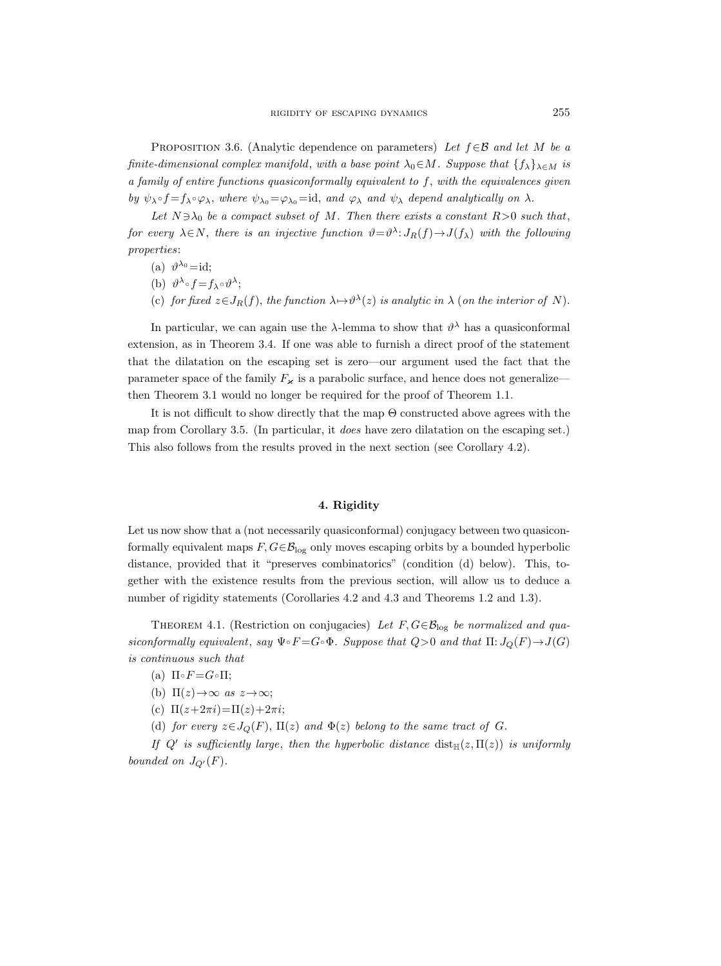PROPOSITION 3.6. (Analytic dependence on parameters) Let  $f \in \mathcal{B}$  and let M be a finite-dimensional complex manifold, with a base point  $\lambda_0 \in M$ . Suppose that  $\{f_\lambda\}_{\lambda \in M}$  is a family of entire functions quasiconformally equivalent to f, with the equivalences given by  $\psi_{\lambda} \circ f = f_{\lambda} \circ \varphi_{\lambda}$ , where  $\psi_{\lambda_0} = \varphi_{\lambda_0} = id$ , and  $\varphi_{\lambda}$  and  $\psi_{\lambda}$  depend analytically on  $\lambda$ .

Let  $N \ni \lambda_0$  be a compact subset of M. Then there exists a constant  $R>0$  such that, for every  $\lambda \in N$ , there is an injective function  $\vartheta = \vartheta^{\lambda} : J_R(f) \to J(f_{\lambda})$  with the following properties:

- (a)  $\vartheta^{\lambda_0} = id;$
- (b)  $\vartheta^{\lambda} \circ f = f_{\lambda} \circ \vartheta^{\lambda};$
- (c) for fixed  $z \in J_R(f)$ , the function  $\lambda \mapsto \vartheta^{\lambda}(z)$  is analytic in  $\lambda$  (on the interior of N).

In particular, we can again use the  $\lambda$ -lemma to show that  $\vartheta^{\lambda}$  has a quasiconformal extension, as in Theorem 3.4. If one was able to furnish a direct proof of the statement that the dilatation on the escaping set is zero—our argument used the fact that the parameter space of the family  $F_{\kappa}$  is a parabolic surface, and hence does not generalize then Theorem 3.1 would no longer be required for the proof of Theorem 1.1.

It is not difficult to show directly that the map  $\Theta$  constructed above agrees with the map from Corollary 3.5. (In particular, it does have zero dilatation on the escaping set.) This also follows from the results proved in the next section (see Corollary 4.2).

# 4. Rigidity

Let us now show that a (not necessarily quasiconformal) conjugacy between two quasiconformally equivalent maps  $F, G \in \mathcal{B}_{\log}$  only moves escaping orbits by a bounded hyperbolic distance, provided that it "preserves combinatorics" (condition (d) below). This, together with the existence results from the previous section, will allow us to deduce a number of rigidity statements (Corollaries 4.2 and 4.3 and Theorems 1.2 and 1.3).

THEOREM 4.1. (Restriction on conjugacies) Let  $F, G \in \mathcal{B}_{\log}$  be normalized and quasiconformally equivalent, say  $\Psi \circ F = G \circ \Phi$ . Suppose that  $Q > 0$  and that  $\Pi: J_Q(F) \to J(G)$ is continuous such that

- (a)  $\Pi \circ F = G \circ \Pi;$
- (b)  $\Pi(z) \rightarrow \infty$  as  $z \rightarrow \infty$ ;
- (c)  $\Pi(z+2\pi i) = \Pi(z)+2\pi i;$
- (d) for every  $z \in J_Q(F)$ ,  $\Pi(z)$  and  $\Phi(z)$  belong to the same tract of G.

If Q' is sufficiently large, then the hyperbolic distance  $dist_{\mathbb{H}}(z,\Pi(z))$  is uniformly bounded on  $J_{Q'}(F)$ .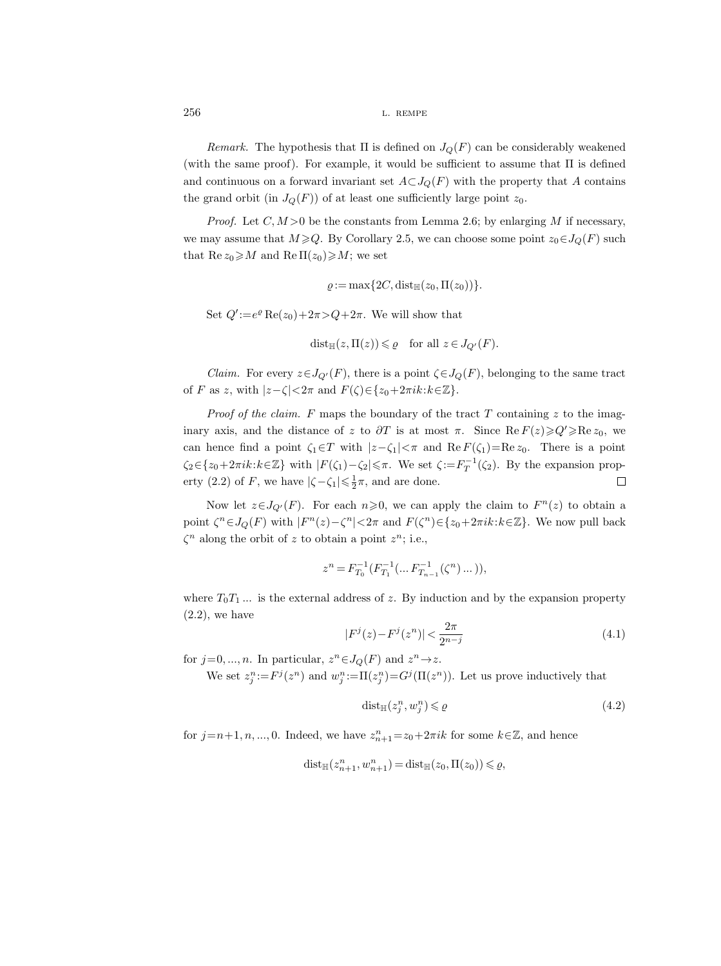Remark. The hypothesis that  $\Pi$  is defined on  $J_Q(F)$  can be considerably weakened (with the same proof). For example, it would be sufficient to assume that  $\Pi$  is defined and continuous on a forward invariant set  $A\subset J_Q(F)$  with the property that A contains the grand orbit (in  $J_Q(F)$ ) of at least one sufficiently large point  $z_0$ .

*Proof.* Let  $C, M > 0$  be the constants from Lemma 2.6; by enlarging M if necessary, we may assume that  $M \geq Q$ . By Corollary 2.5, we can choose some point  $z_0 \in J_Q(F)$  such that  $\text{Re } z_0 \geqslant M$  and  $\text{Re } \Pi(z_0) \geqslant M$ ; we set

$$
\varrho:=\max\{2C,\mathrm{dist}_{\mathbb{H}}(z_0,\Pi(z_0))\}.
$$

Set  $Q' := e^{\varrho} \operatorname{Re}(z_0) + 2\pi > Q + 2\pi$ . We will show that

$$
\text{dist}_{\mathbb{H}}(z, \Pi(z)) \leq \varrho \quad \text{for all } z \in J_{Q'}(F).
$$

*Claim.* For every  $z \in J_{Q'}(F)$ , there is a point  $\zeta \in J_Q(F)$ , belonging to the same tract of F as z, with  $|z-\zeta|<2\pi$  and  $F(\zeta) \in \{z_0+2\pi i k: k\in \mathbb{Z}\}.$ 

*Proof of the claim.* F maps the boundary of the tract T containing z to the imaginary axis, and the distance of z to  $\partial T$  is at most  $\pi$ . Since Re  $F(z) \geqslant Q' \geqslant \mathbb{R}e z_0$ , we can hence find a point  $\zeta_1 \in T$  with  $|z-\zeta_1| < \pi$  and Re  $F(\zeta_1)=\text{Re } z_0$ . There is a point  $\zeta_2 \in \{z_0+2\pi i k : k \in \mathbb{Z}\}\$  with  $|F(\zeta_1)-\zeta_2| \leq \pi$ . We set  $\zeta := F_T^{-1}(\zeta_2)$ . By the expansion property (2.2) of F, we have  $|\zeta - \zeta_1| \leq \frac{1}{2}\pi$ , and are done.  $\Box$ 

Now let  $z \in J_{Q'}(F)$ . For each  $n \geq 0$ , we can apply the claim to  $F^{n}(z)$  to obtain a point  $\zeta^n \in J_Q(F)$  with  $|F^n(z) - \zeta^n| < 2\pi$  and  $F(\zeta^n) \in \{z_0 + 2\pi i k : k \in \mathbb{Z}\}\.$  We now pull back  $\zeta^n$  along the orbit of z to obtain a point  $z^n$ ; i.e.,

$$
z^n=F_{T_0}^{-1}(F_{T_1}^{-1}(\ldots F_{T_{n-1}}^{-1}(\zeta^n)\ldots )),
$$

where  $T_0T_1...$  is the external address of z. By induction and by the expansion property  $(2.2)$ , we have

$$
|F^{j}(z) - F^{j}(z^{n})| < \frac{2\pi}{2^{n-j}}\tag{4.1}
$$

for  $j=0, ..., n$ . In particular,  $z^n \in J_Q(F)$  and  $z^n \to z$ .

We set  $z_j^n := F^j(z^n)$  and  $w_j^n := \Pi(z_j^n) = G^j(\Pi(z^n))$ . Let us prove inductively that

$$
dist_{\mathbb{H}}(z_j^n, w_j^n) \leqslant \varrho \tag{4.2}
$$

for  $j=n+1, n, ..., 0$ . Indeed, we have  $z_{n+1}^n=z_0+2\pi ik$  for some  $k\in\mathbb{Z}$ , and hence

$$
\mathrm{dist}_{\mathbb{H}}(z_{n+1}^n, w_{n+1}^n) = \mathrm{dist}_{\mathbb{H}}(z_0, \Pi(z_0)) \leqslant \varrho,
$$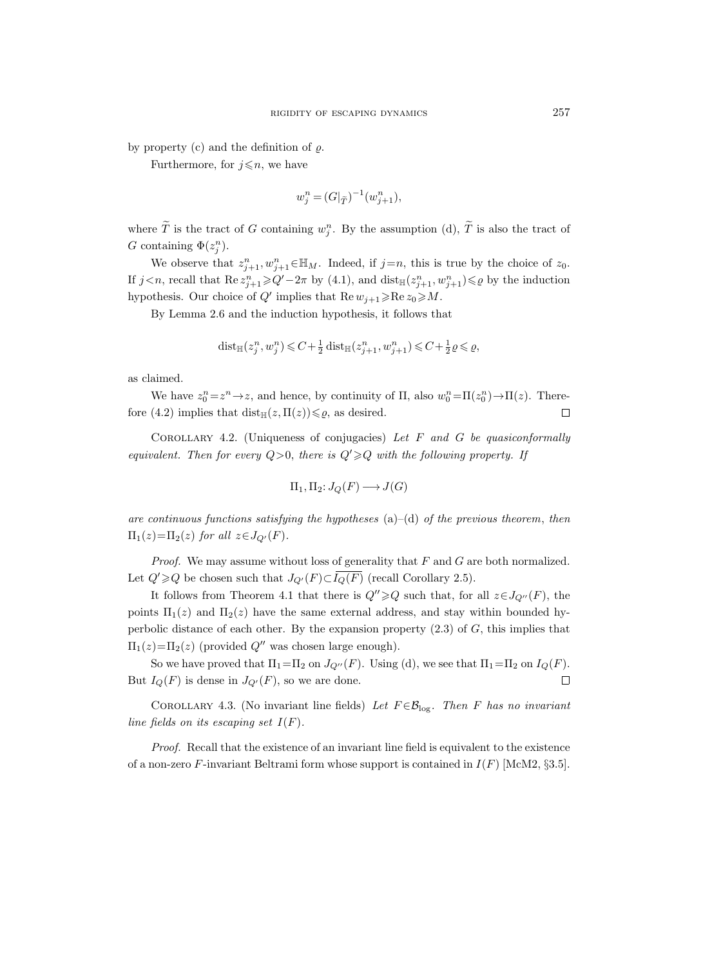by property (c) and the definition of  $\rho$ .

Furthermore, for  $j \leq n$ , we have

$$
w_j^n = (G|_{\widetilde{T}})^{-1}(w_{j+1}^n),
$$

where T is the tract of G containing  $w_j^n$ . By the assumption (d), T is also the tract of G containing  $\Phi(z_j^n)$ .

We observe that  $z_{j+1}^n, w_{j+1}^n \in \mathbb{H}_M$ . Indeed, if  $j=n$ , this is true by the choice of  $z_0$ . If  $j < n$ , recall that  $\text{Re } z_{j+1}^n \geq Q' - 2\pi$  by (4.1), and  $\text{dist}_{\mathbb{H}}(z_{j+1}^n, w_{j+1}^n) \leq \varrho$  by the induction hypothesis. Our choice of  $Q'$  implies that  $\text{Re } w_{j+1} \geq \text{Re } z_0 \geq M$ .

By Lemma 2.6 and the induction hypothesis, it follows that

$$
\mathrm{dist}_{\mathbb{H}}(z_j^n, w_j^n) \leqslant C + \tfrac{1}{2} \, \mathrm{dist}_{\mathbb{H}}(z_{j+1}^n, w_{j+1}^n) \leqslant C + \tfrac{1}{2} \varrho \leqslant \varrho,
$$

as claimed.

We have  $z_0^n = z^n \to z$ , and hence, by continuity of  $\Pi$ , also  $w_0^n = \Pi(z_0^n) \to \Pi(z)$ . Therefore (4.2) implies that  $dist_{\mathbb{H}}(z,\Pi(z)) \leq \varrho$ , as desired.  $\Box$ 

COROLLARY 4.2. (Uniqueness of conjugacies) Let  $F$  and  $G$  be quasiconformally equivalent. Then for every  $Q>0$ , there is  $Q'\geq Q$  with the following property. If

$$
\Pi_1, \Pi_2 \colon J_Q(F) \longrightarrow J(G)
$$

are continuous functions satisfying the hypotheses  $(a)$ – $(d)$  of the previous theorem, then  $\Pi_1(z) = \Pi_2(z)$  for all  $z \in J_{Q'}(F)$ .

*Proof.* We may assume without loss of generality that  $F$  and  $G$  are both normalized. Let  $Q' \geqslant Q$  be chosen such that  $J_{Q'}(F) \subset \overline{I_Q(F)}$  (recall Corollary 2.5).

It follows from Theorem 4.1 that there is  $Q'' \geq Q$  such that, for all  $z \in J_{Q''}(F)$ , the points  $\Pi_1(z)$  and  $\Pi_2(z)$  have the same external address, and stay within bounded hyperbolic distance of each other. By the expansion property  $(2.3)$  of G, this implies that  $\Pi_1(z) = \Pi_2(z)$  (provided Q'' was chosen large enough).

So we have proved that  $\Pi_1=\Pi_2$  on  $J_{Q''}(F)$ . Using (d), we see that  $\Pi_1=\Pi_2$  on  $I_Q(F)$ . But  $I_Q(F)$  is dense in  $J_{Q'}(F)$ , so we are done.  $\Box$ 

COROLLARY 4.3. (No invariant line fields) Let  $F \in \mathcal{B}_{\log}$ . Then F has no invariant line fields on its escaping set  $I(F)$ .

Proof. Recall that the existence of an invariant line field is equivalent to the existence of a non-zero F-invariant Beltrami form whose support is contained in  $I(F)$  [McM2, §3.5].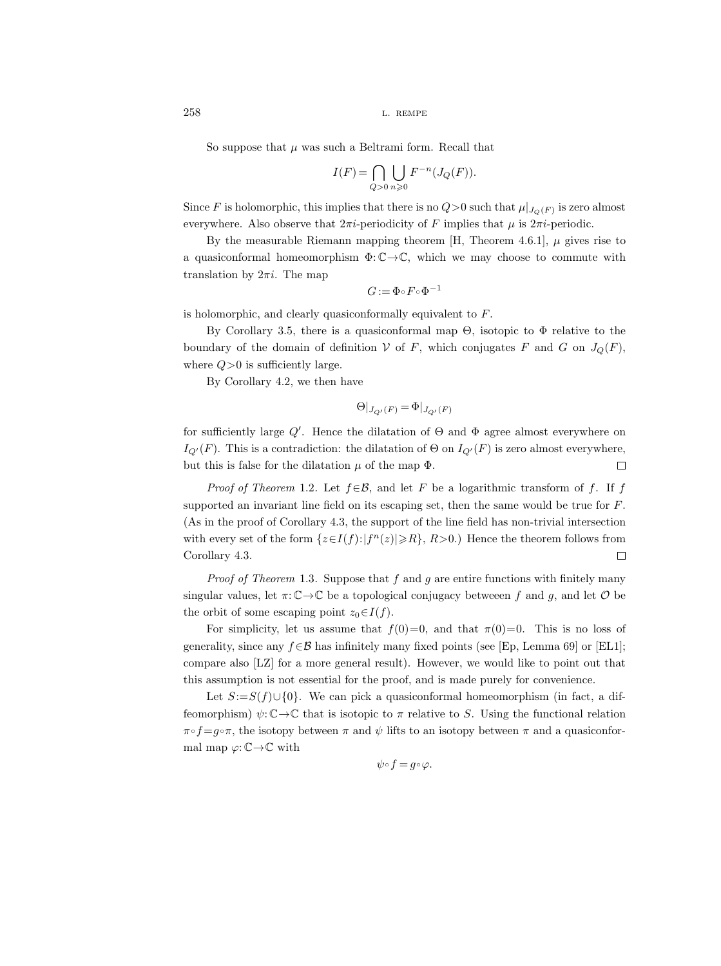So suppose that  $\mu$  was such a Beltrami form. Recall that

$$
I(F) = \bigcap_{Q>0} \bigcup_{n\geqslant 0} F^{-n}(J_Q(F)).
$$

Since F is holomorphic, this implies that there is no  $Q>0$  such that  $\mu|_{J_Q(F)}$  is zero almost everywhere. Also observe that  $2\pi i$ -periodicity of F implies that  $\mu$  is  $2\pi i$ -periodic.

By the measurable Riemann mapping theorem [H, Theorem 4.6.1],  $\mu$  gives rise to a quasiconformal homeomorphism  $\Phi: \mathbb{C} \to \mathbb{C}$ , which we may choose to commute with translation by  $2\pi i$ . The map

$$
G\!:=\!\Phi\!\circ\!F\!\circ\!\Phi^{-1}
$$

is holomorphic, and clearly quasiconformally equivalent to F.

By Corollary 3.5, there is a quasiconformal map  $\Theta$ , isotopic to  $\Phi$  relative to the boundary of the domain of definition  $V$  of F, which conjugates F and G on  $J_Q(F)$ , where  $Q>0$  is sufficiently large.

By Corollary 4.2, we then have

$$
\Theta|_{J_{Q'}(F)} = \Phi|_{J_{Q'}(F)}
$$

for sufficiently large  $Q'$ . Hence the dilatation of  $\Theta$  and  $\Phi$  agree almost everywhere on  $I_{Q'}(F)$ . This is a contradiction: the dilatation of  $\Theta$  on  $I_{Q'}(F)$  is zero almost everywhere, but this is false for the dilatation  $\mu$  of the map  $\Phi$ .  $\Box$ 

*Proof of Theorem* 1.2. Let  $f \in \mathcal{B}$ , and let F be a logarithmic transform of f. If f supported an invariant line field on its escaping set, then the same would be true for  $F$ . (As in the proof of Corollary 4.3, the support of the line field has non-trivial intersection with every set of the form  $\{z \in I(f): |f^n(z)| \ge R\}$ ,  $R > 0$ .) Hence the theorem follows from Corollary 4.3.  $\Box$ 

*Proof of Theorem* 1.3. Suppose that  $f$  and  $g$  are entire functions with finitely many singular values, let  $\pi: \mathbb{C} \to \mathbb{C}$  be a topological conjugacy between f and g, and let  $\mathcal O$  be the orbit of some escaping point  $z_0 \in I(f)$ .

For simplicity, let us assume that  $f(0)=0$ , and that  $\pi(0)=0$ . This is no loss of generality, since any  $f \in \mathcal{B}$  has infinitely many fixed points (see [Ep, Lemma 69] or [EL1]; compare also [LZ] for a more general result). However, we would like to point out that this assumption is not essential for the proof, and is made purely for convenience.

Let  $S:=S(f)\cup\{0\}$ . We can pick a quasiconformal homeomorphism (in fact, a diffeomorphism)  $\psi: \mathbb{C} \to \mathbb{C}$  that is isotopic to  $\pi$  relative to S. Using the functional relation  $\pi \circ f = g \circ \pi$ , the isotopy between  $\pi$  and  $\psi$  lifts to an isotopy between  $\pi$  and a quasiconformal map  $\varphi: \mathbb{C} \to \mathbb{C}$  with

$$
\psi\!\circ\!f\!=\!g\!\circ\!\varphi.
$$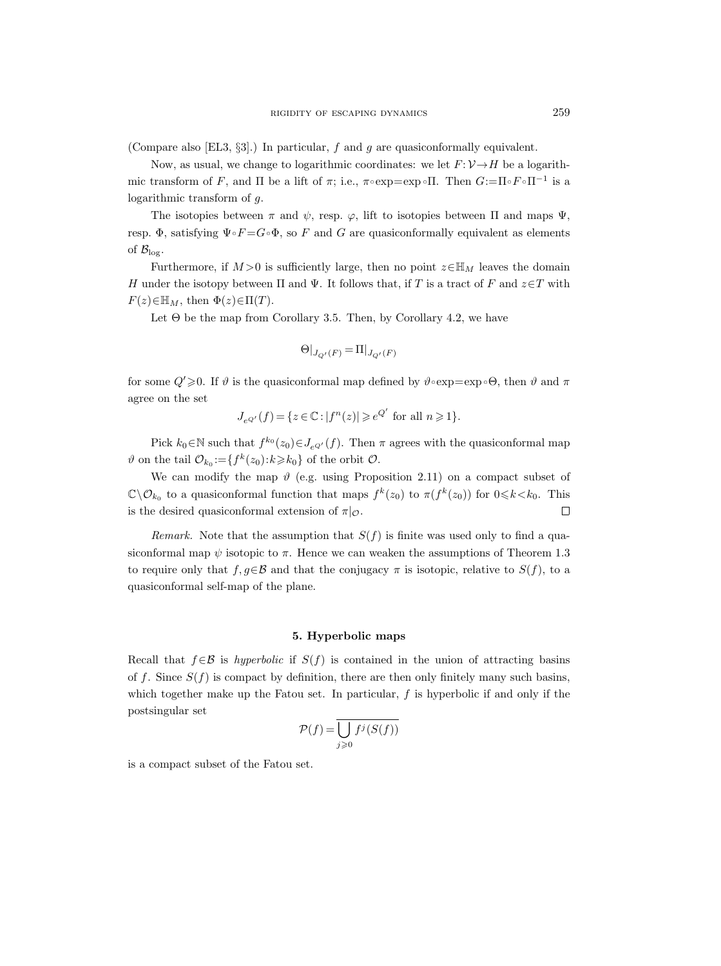(Compare also [EL3, §3].) In particular, f and g are quasiconformally equivalent.

Now, as usual, we change to logarithmic coordinates: we let  $F: \mathcal{V} \rightarrow H$  be a logarithmic transform of F, and  $\Pi$  be a lift of  $\pi$ ; i.e.,  $\pi \circ \exp = \exp \circ \Pi$ . Then  $G := \Pi \circ F \circ \Pi^{-1}$  is a logarithmic transform of g.

The isotopies between  $\pi$  and  $\psi$ , resp.  $\varphi$ , lift to isotopies between  $\Pi$  and maps  $\Psi$ , resp. Φ, satisfying  $\Psi \circ F = G \circ \Phi$ , so F and G are quasiconformally equivalent as elements of  $\mathcal{B}_{\log}$ .

Furthermore, if  $M > 0$  is sufficiently large, then no point  $z \in \mathbb{H}_M$  leaves the domain H under the isotopy between  $\Pi$  and  $\Psi$ . It follows that, if T is a tract of F and  $z \in T$  with  $F(z) \in \mathbb{H}_M$ , then  $\Phi(z) \in \Pi(T)$ .

Let  $\Theta$  be the map from Corollary 3.5. Then, by Corollary 4.2, we have

$$
\Theta|_{J_{Q'}(F)}=\Pi|_{J_{Q'}(F)}
$$

for some  $Q' \geq 0$ . If  $\vartheta$  is the quasiconformal map defined by  $\vartheta \circ \exp = \exp \circ \Theta$ , then  $\vartheta$  and  $\pi$ agree on the set

$$
J_{e^{Q'}}(f) = \{ z \in \mathbb{C} : |f^n(z)| \geqslant e^{Q'} \text{ for all } n \geqslant 1 \}.
$$

Pick  $k_0 \in \mathbb{N}$  such that  $f^{k_0}(z_0) \in J_{e^{Q'}}(f)$ . Then  $\pi$  agrees with the quasiconformal map  $\vartheta$  on the tail  $\mathcal{O}_{k_0}:=\{f^k(z_0):k\geqslant k_0\}$  of the orbit  $\mathcal{O}$ .

We can modify the map  $\vartheta$  (e.g. using Proposition 2.11) on a compact subset of  $\mathbb{C}\setminus\mathcal{O}_{k_0}$  to a quasiconformal function that maps  $f^k(z_0)$  to  $\pi(f^k(z_0))$  for  $0 \le k < k_0$ . This is the desired quasiconformal extension of  $\pi|_{\mathcal{O}}$ .  $\Box$ 

Remark. Note that the assumption that  $S(f)$  is finite was used only to find a quasiconformal map  $\psi$  isotopic to  $\pi$ . Hence we can weaken the assumptions of Theorem 1.3 to require only that  $f, g \in \mathcal{B}$  and that the conjugacy  $\pi$  is isotopic, relative to  $S(f)$ , to a quasiconformal self-map of the plane.

## 5. Hyperbolic maps

Recall that  $f \in \mathcal{B}$  is hyperbolic if  $S(f)$  is contained in the union of attracting basins of f. Since  $S(f)$  is compact by definition, there are then only finitely many such basins, which together make up the Fatou set. In particular,  $f$  is hyperbolic if and only if the postsingular set

$$
\mathcal{P}(f) = \overline{\bigcup_{j \geq 0} f^j(S(f))}
$$

is a compact subset of the Fatou set.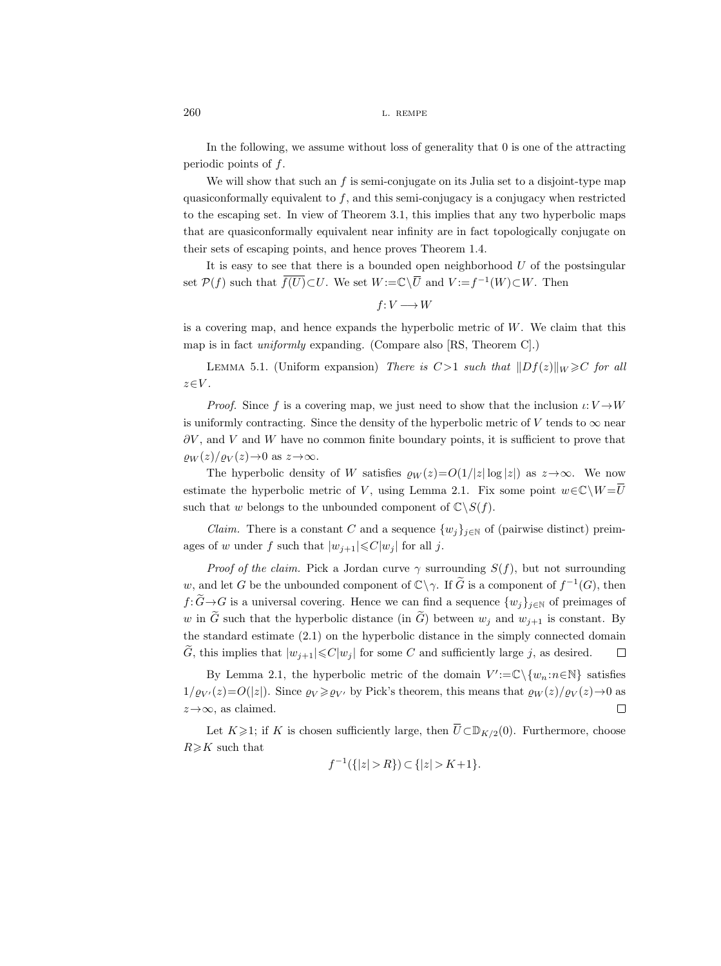In the following, we assume without loss of generality that 0 is one of the attracting periodic points of  $f$ .

We will show that such an  $f$  is semi-conjugate on its Julia set to a disjoint-type map quasiconformally equivalent to  $f$ , and this semi-conjugacy is a conjugacy when restricted to the escaping set. In view of Theorem 3.1, this implies that any two hyperbolic maps that are quasiconformally equivalent near infinity are in fact topologically conjugate on their sets of escaping points, and hence proves Theorem 1.4.

It is easy to see that there is a bounded open neighborhood  $U$  of the postsingular set  $\mathcal{P}(f)$  such that  $\overline{f(U)} \subset U$ . We set  $W := \mathbb{C} \setminus U$  and  $V := f^{-1}(W) \subset W$ . Then

$$
f\colon V\longrightarrow W
$$

is a covering map, and hence expands the hyperbolic metric of  $W$ . We claim that this map is in fact uniformly expanding. (Compare also [RS, Theorem C].)

LEMMA 5.1. (Uniform expansion) There is  $C>1$  such that  $||Df(z)||_W \geq C$  for all  $z \in V$ .

*Proof.* Since f is a covering map, we just need to show that the inclusion  $\iota: V \to W$ is uniformly contracting. Since the density of the hyperbolic metric of V tends to  $\infty$  near  $\partial V$ , and V and W have no common finite boundary points, it is sufficient to prove that  $\rho_W(z)/\rho_V(z) \rightarrow 0$  as  $z \rightarrow \infty$ .

The hyperbolic density of W satisfies  $\varrho_W(z) = O(1/|z| \log |z|)$  as  $z \to \infty$ . We now estimate the hyperbolic metric of V, using Lemma 2.1. Fix some point  $w \in \mathbb{C} \backslash W = \overline{U}$ such that w belongs to the unbounded component of  $\mathbb{C}\backslash S(f)$ .

*Claim.* There is a constant C and a sequence  $\{w_j\}_{j\in\mathbb{N}}$  of (pairwise distinct) preimages of w under f such that  $|w_{j+1}| \leq C |w_j|$  for all j.

*Proof of the claim.* Pick a Jordan curve  $\gamma$  surrounding  $S(f)$ , but not surrounding w, and let G be the unbounded component of  $\mathbb{C}\setminus\gamma$ . If  $\widetilde{G}$  is a component of  $f^{-1}(G)$ , then  $f: \widetilde{G} \to G$  is a universal covering. Hence we can find a sequence  $\{w_i\}_{i\in\mathbb{N}}$  of preimages of w in G such that the hyperbolic distance (in  $\tilde{G}$ ) between  $w_i$  and  $w_{i+1}$  is constant. By the standard estimate (2.1) on the hyperbolic distance in the simply connected domain G, this implies that  $|w_{i+1}| \leq C |w_i|$  for some C and sufficiently large j, as desired.  $\Box$ 

By Lemma 2.1, the hyperbolic metric of the domain  $V' := \mathbb{C} \setminus \{w_n : n \in \mathbb{N}\}\$  satisfies  $1/\varrho_{V'}(z)=O(|z|)$ . Since  $\varrho_V \geq \varrho_{V'}$  by Pick's theorem, this means that  $\varrho_W(z)/\varrho_V(z) \to 0$  as  $z \rightarrow \infty$ , as claimed.  $\Box$ 

Let  $K \geq 1$ ; if K is chosen sufficiently large, then  $\overline{U} \subset \mathbb{D}_{K/2}(0)$ . Furthermore, choose  $R\geq K$  such that

$$
f^{-1}(\{|z| > R\}) \subset \{|z| > K + 1\}.
$$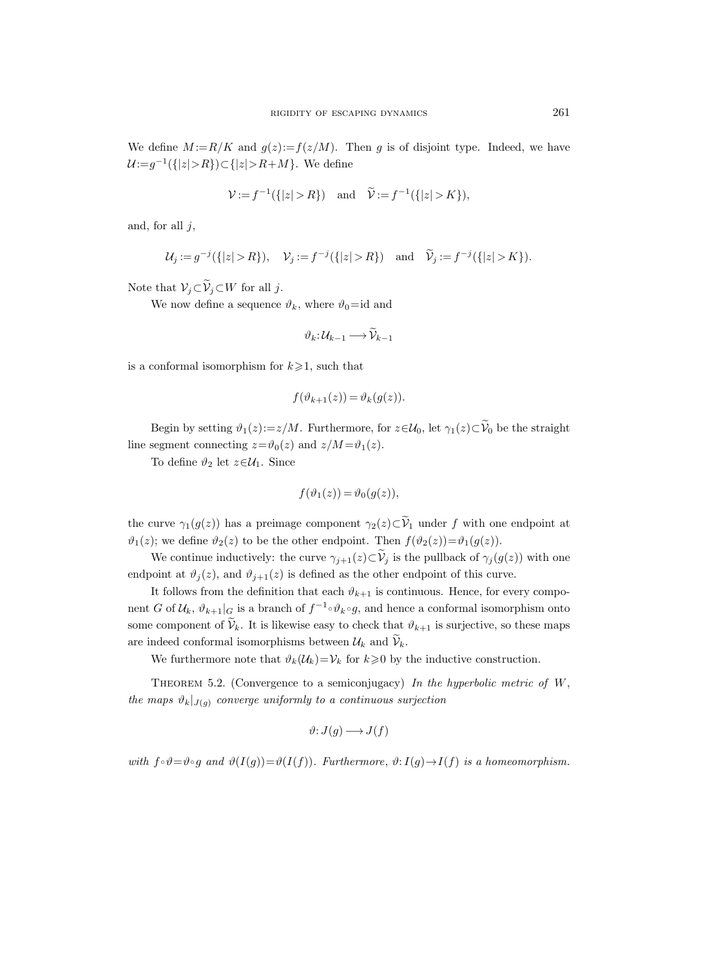We define  $M := R/K$  and  $q(z) := f(z/M)$ . Then g is of disjoint type. Indeed, we have  $\mathcal{U} := g^{-1}(\{|z| > R\}) \subset \{|z| > R + M\}$ . We define

$$
\mathcal{V} := f^{-1}(\{|z| > R\}) \text{ and } \tilde{\mathcal{V}} := f^{-1}(\{|z| > K\}),
$$

and, for all  $j$ ,

$$
\mathcal{U}_j := g^{-j}(\{|z| > R\}), \quad \mathcal{V}_j := f^{-j}(\{|z| > R\}) \quad \text{and} \quad \widetilde{\mathcal{V}}_j := f^{-j}(\{|z| > K\}).
$$

Note that  $\mathcal{V}_j \subset \widetilde{\mathcal{V}}_j \subset W$  for all j.

We now define a sequence  $\vartheta_k$ , where  $\vartheta_0 = id$  and

$$
\vartheta_k\colon \mathcal{U}_{k-1}\longrightarrow \widetilde{\mathcal{V}}_{k-1}
$$

is a conformal isomorphism for  $k\geqslant 1$ , such that

$$
f(\vartheta_{k+1}(z)) = \vartheta_k(g(z)).
$$

Begin by setting  $\vartheta_1(z) := z/M$ . Furthermore, for  $z \in \mathcal{U}_0$ , let  $\gamma_1(z) \subset \widetilde{\mathcal{V}}_0$  be the straight line segment connecting  $z=\vartheta_0(z)$  and  $z/M = \vartheta_1(z)$ .

To define  $\vartheta_2$  let  $z \in \mathcal{U}_1$ . Since

$$
f(\vartheta_1(z)) = \vartheta_0(g(z)),
$$

the curve  $\gamma_1(g(z))$  has a preimage component  $\gamma_2(z)\subset \widetilde{\mathcal{V}}_1$  under f with one endpoint at  $\vartheta_1(z)$ ; we define  $\vartheta_2(z)$  to be the other endpoint. Then  $f(\vartheta_2(z))=\vartheta_1(g(z))$ .

We continue inductively: the curve  $\gamma_{j+1}(z) \subset \widetilde{\mathcal{V}}_j$  is the pullback of  $\gamma_j(g(z))$  with one endpoint at  $\vartheta_j(z)$ , and  $\vartheta_{j+1}(z)$  is defined as the other endpoint of this curve.

It follows from the definition that each  $\vartheta_{k+1}$  is continuous. Hence, for every component G of  $\mathcal{U}_k$ ,  $\vartheta_{k+1}|_G$  is a branch of  $f^{-1} \circ \vartheta_k \circ g$ , and hence a conformal isomorphism onto some component of  $\tilde{\mathcal{V}}_k$ . It is likewise easy to check that  $\vartheta_{k+1}$  is surjective, so these maps are indeed conformal isomorphisms between  $\mathcal{U}_k$  and  $\widetilde{\mathcal{V}}_k$ .

We furthermore note that  $\vartheta_k(\mathcal{U}_k)=\mathcal{V}_k$  for  $k\geqslant 0$  by the inductive construction.

THEOREM 5.2. (Convergence to a semiconjugacy) In the hyperbolic metric of  $W$ , the maps  $\vartheta_k|_{J(q)}$  converge uniformly to a continuous surjection

$$
\vartheta\colon J(g)\longrightarrow J(f)
$$

with  $f \circ \vartheta = \vartheta \circ g$  and  $\vartheta(I(g)) = \vartheta(I(f))$ . Furthermore,  $\vartheta: I(g) \to I(f)$  is a homeomorphism.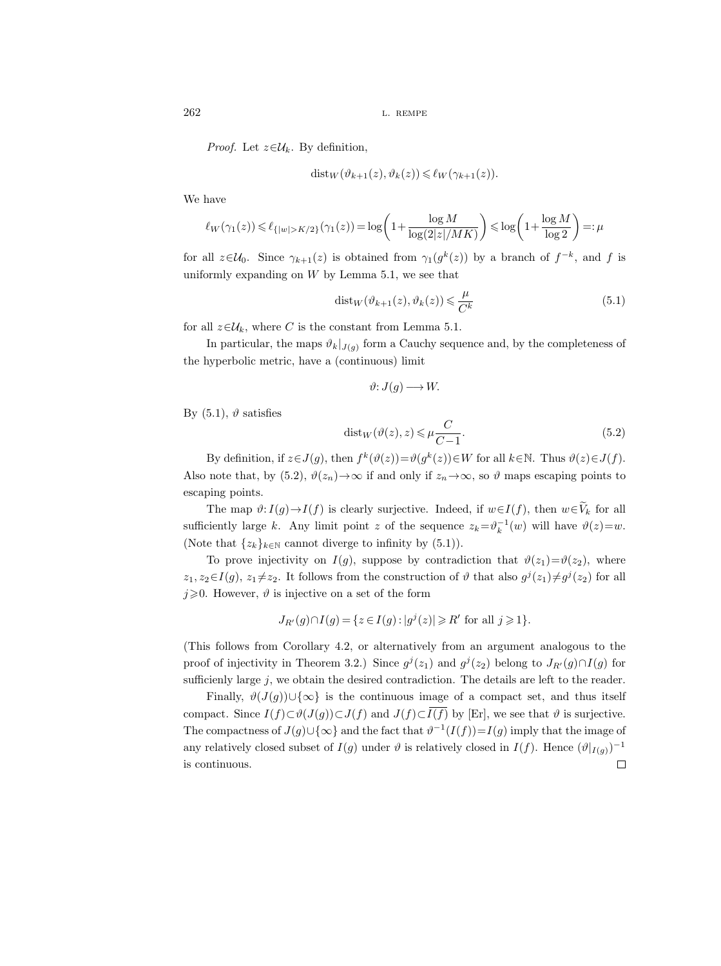*Proof.* Let  $z \in \mathcal{U}_k$ . By definition,

$$
dist_W(\vartheta_{k+1}(z), \vartheta_k(z)) \leq \ell_W(\gamma_{k+1}(z)).
$$

We have

$$
\ell_W(\gamma_1(z))\leqslant \ell_{\{|w|>K/2\}}(\gamma_1(z))=\log\bigg(1+\frac{\log M}{\log (2|z|/MK)}\bigg)\leqslant \log\bigg(1+\frac{\log M}{\log 2}\bigg)=:\mu
$$

for all  $z \in \mathcal{U}_0$ . Since  $\gamma_{k+1}(z)$  is obtained from  $\gamma_1(g^k(z))$  by a branch of  $f^{-k}$ , and f is uniformly expanding on  $W$  by Lemma 5.1, we see that

$$
dist_W(\vartheta_{k+1}(z), \vartheta_k(z)) \leq \frac{\mu}{C^k}
$$
\n(5.1)

for all  $z \in \mathcal{U}_k$ , where C is the constant from Lemma 5.1.

In particular, the maps  $\vartheta_k|_{J(g)}$  form a Cauchy sequence and, by the completeness of the hyperbolic metric, have a (continuous) limit

$$
\vartheta\colon J(g)\longrightarrow W.
$$

By  $(5.1)$ ,  $\vartheta$  satisfies

$$
dist_W(\vartheta(z), z) \le \mu \frac{C}{C - 1}.\tag{5.2}
$$

By definition, if  $z \in J(g)$ , then  $f^k(\vartheta(z)) = \vartheta(g^k(z)) \in W$  for all  $k \in \mathbb{N}$ . Thus  $\vartheta(z) \in J(f)$ . Also note that, by (5.2),  $\vartheta(z_n) \to \infty$  if and only if  $z_n \to \infty$ , so  $\vartheta$  maps escaping points to escaping points.

The map  $\vartheta: I(g) \to I(f)$  is clearly surjective. Indeed, if  $w \in I(f)$ , then  $w \in V_k$  for all sufficiently large k. Any limit point z of the sequence  $z_k = \theta_k^{-1}(w)$  will have  $\vartheta(z) = w$ . (Note that  $\{z_k\}_{k\in\mathbb{N}}$  cannot diverge to infinity by (5.1)).

To prove injectivity on  $I(g)$ , suppose by contradiction that  $\vartheta(z_1)=\vartheta(z_2)$ , where  $z_1, z_2 \in I(g), z_1 \neq z_2$ . It follows from the construction of  $\vartheta$  that also  $g^j(z_1) \neq g^j(z_2)$  for all  $j\geqslant 0$ . However,  $\vartheta$  is injective on a set of the form

$$
J_{R'}(g) \cap I(g) = \{ z \in I(g) : |g^{j}(z)| \ge R' \text{ for all } j \ge 1 \}.
$$

(This follows from Corollary 4.2, or alternatively from an argument analogous to the proof of injectivity in Theorem 3.2.) Since  $g^{j}(z_1)$  and  $g^{j}(z_2)$  belong to  $J_{R'}(g) \cap I(g)$  for sufficienly large  $j$ , we obtain the desired contradiction. The details are left to the reader.

Finally,  $\vartheta(J(g))\cup\{\infty\}$  is the continuous image of a compact set, and thus itself compact. Since  $I(f) \subset \vartheta(J(g)) \subset J(f)$  and  $J(f) \subset \overline{I(f)}$  by [Er], we see that  $\vartheta$  is surjective. The compactness of  $J(g) \cup {\infty}$  and the fact that  $\vartheta^{-1}(I(f)) = I(g)$  imply that the image of any relatively closed subset of  $I(g)$  under  $\vartheta$  is relatively closed in  $I(f)$ . Hence  $(\vartheta|_{I(g)})^{-1}$  $\Box$ is continuous.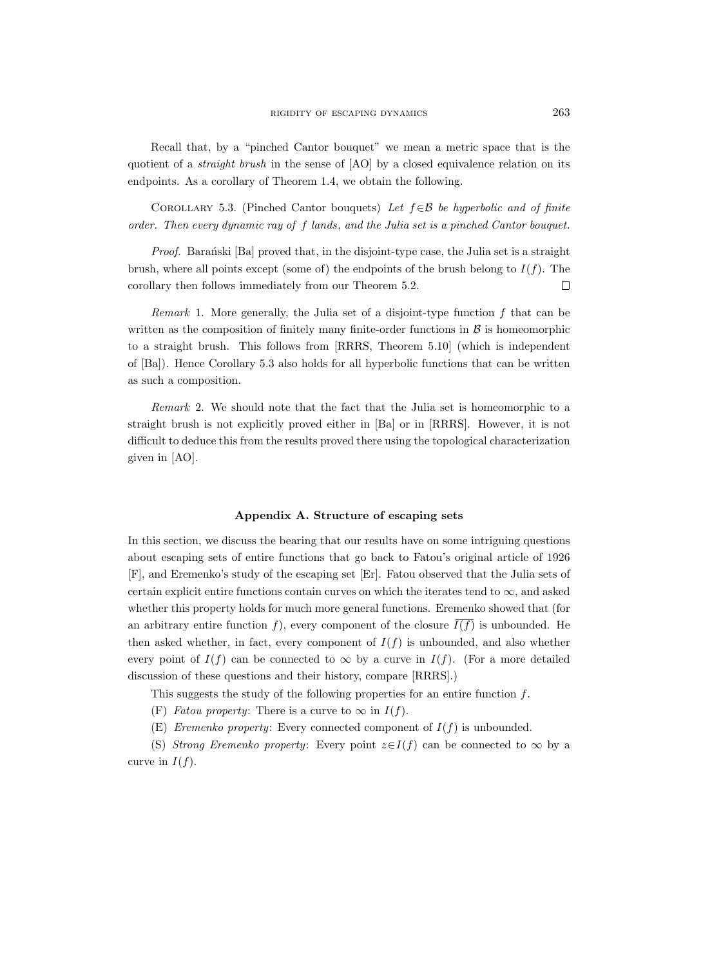Recall that, by a "pinched Cantor bouquet" we mean a metric space that is the quotient of a *straight brush* in the sense of [AO] by a closed equivalence relation on its endpoints. As a corollary of Theorem 1.4, we obtain the following.

COROLLARY 5.3. (Pinched Cantor bouquets) Let  $f \in \mathcal{B}$  be hyperbolic and of finite order. Then every dynamic ray of f lands, and the Julia set is a pinched Cantor bouquet.

*Proof.* Baranski [Ba] proved that, in the disjoint-type case, the Julia set is a straight brush, where all points except (some of) the endpoints of the brush belong to  $I(f)$ . The corollary then follows immediately from our Theorem 5.2.  $\Box$ 

Remark 1. More generally, the Julia set of a disjoint-type function  $f$  that can be written as the composition of finitely many finite-order functions in  $\beta$  is homeomorphic to a straight brush. This follows from [RRRS, Theorem 5.10] (which is independent of [Ba]). Hence Corollary 5.3 also holds for all hyperbolic functions that can be written as such a composition.

Remark 2. We should note that the fact that the Julia set is homeomorphic to a straight brush is not explicitly proved either in [Ba] or in [RRRS]. However, it is not difficult to deduce this from the results proved there using the topological characterization given in [AO].

## Appendix A. Structure of escaping sets

In this section, we discuss the bearing that our results have on some intriguing questions about escaping sets of entire functions that go back to Fatou's original article of 1926 [F], and Eremenko's study of the escaping set [Er]. Fatou observed that the Julia sets of certain explicit entire functions contain curves on which the iterates tend to  $\infty$ , and asked whether this property holds for much more general functions. Eremenko showed that (for an arbitrary entire function f), every component of the closure  $\overline{I(f)}$  is unbounded. He then asked whether, in fact, every component of  $I(f)$  is unbounded, and also whether every point of  $I(f)$  can be connected to  $\infty$  by a curve in  $I(f)$ . (For a more detailed discussion of these questions and their history, compare [RRRS].)

This suggests the study of the following properties for an entire function f.

- (F) Fatou property: There is a curve to  $\infty$  in  $I(f)$ .
- (E) Eremenko property: Every connected component of  $I(f)$  is unbounded.

(S) Strong Eremenko property: Every point  $z \in I(f)$  can be connected to  $\infty$  by a curve in  $I(f)$ .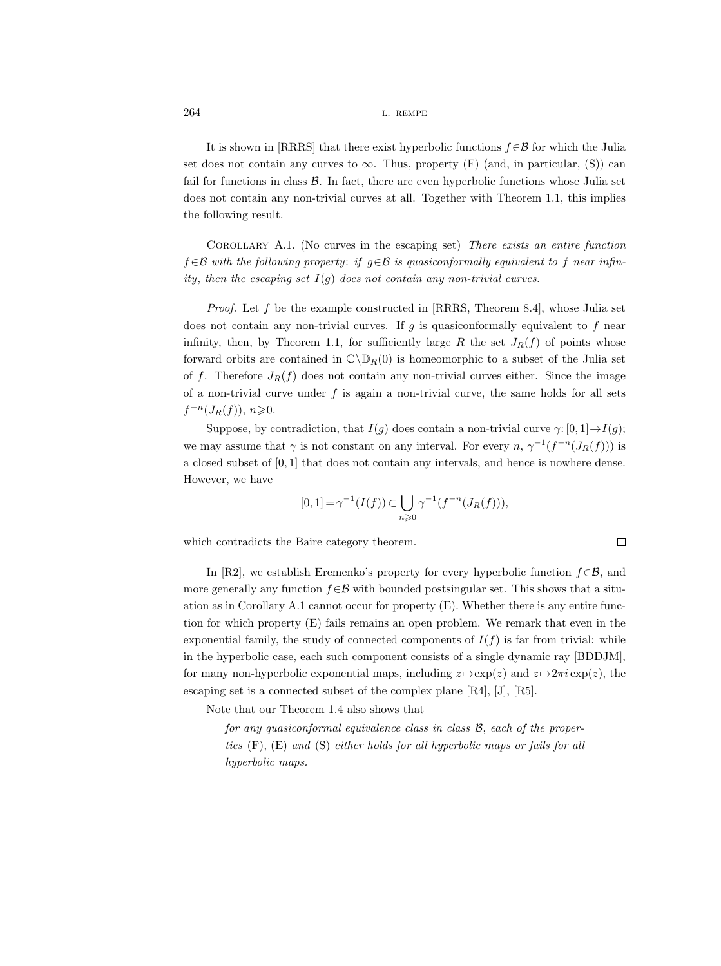It is shown in [RRRS] that there exist hyperbolic functions  $f \in \mathcal{B}$  for which the Julia set does not contain any curves to  $\infty$ . Thus, property (F) (and, in particular, (S)) can fail for functions in class  $\beta$ . In fact, there are even hyperbolic functions whose Julia set does not contain any non-trivial curves at all. Together with Theorem 1.1, this implies the following result.

Corollary A.1. (No curves in the escaping set) There exists an entire function  $f \in \mathcal{B}$  with the following property: if  $g \in \mathcal{B}$  is quasiconformally equivalent to f near infinity, then the escaping set  $I(g)$  does not contain any non-trivial curves.

*Proof.* Let f be the example constructed in [RRRS, Theorem 8.4], whose Julia set does not contain any non-trivial curves. If  $g$  is quasiconformally equivalent to  $f$  near infinity, then, by Theorem 1.1, for sufficiently large R the set  $J_R(f)$  of points whose forward orbits are contained in  $\mathbb{C}\backslash\mathbb{D}_R(0)$  is homeomorphic to a subset of the Julia set of f. Therefore  $J_R(f)$  does not contain any non-trivial curves either. Since the image of a non-trivial curve under  $f$  is again a non-trivial curve, the same holds for all sets  $f^{-n}(J_R(f)), n \geqslant 0.$ 

Suppose, by contradiction, that  $I(g)$  does contain a non-trivial curve  $\gamma: [0, 1] \rightarrow I(g);$ we may assume that  $\gamma$  is not constant on any interval. For every  $n, \gamma^{-1}(f^{-n}(J_R(f)))$  is a closed subset of [0, 1] that does not contain any intervals, and hence is nowhere dense. However, we have

$$
[0,1] = \gamma^{-1}(I(f)) \subset \bigcup_{n \geq 0} \gamma^{-1}(f^{-n}(J_R(f))),
$$

which contradicts the Baire category theorem.

In [R2], we establish Eremenko's property for every hyperbolic function  $f \in \mathcal{B}$ , and more generally any function  $f \in \mathcal{B}$  with bounded postsingular set. This shows that a situation as in Corollary A.1 cannot occur for property (E). Whether there is any entire function for which property (E) fails remains an open problem. We remark that even in the exponential family, the study of connected components of  $I(f)$  is far from trivial: while in the hyperbolic case, each such component consists of a single dynamic ray [BDDJM], for many non-hyperbolic exponential maps, including  $z \mapsto \exp(z)$  and  $z \mapsto 2\pi i \exp(z)$ , the escaping set is a connected subset of the complex plane [R4], [J], [R5].

Note that our Theorem 1.4 also shows that

for any quasiconformal equivalence class in class B, each of the properties (F), (E) and (S) either holds for all hyperbolic maps or fails for all hyperbolic maps.

 $\Box$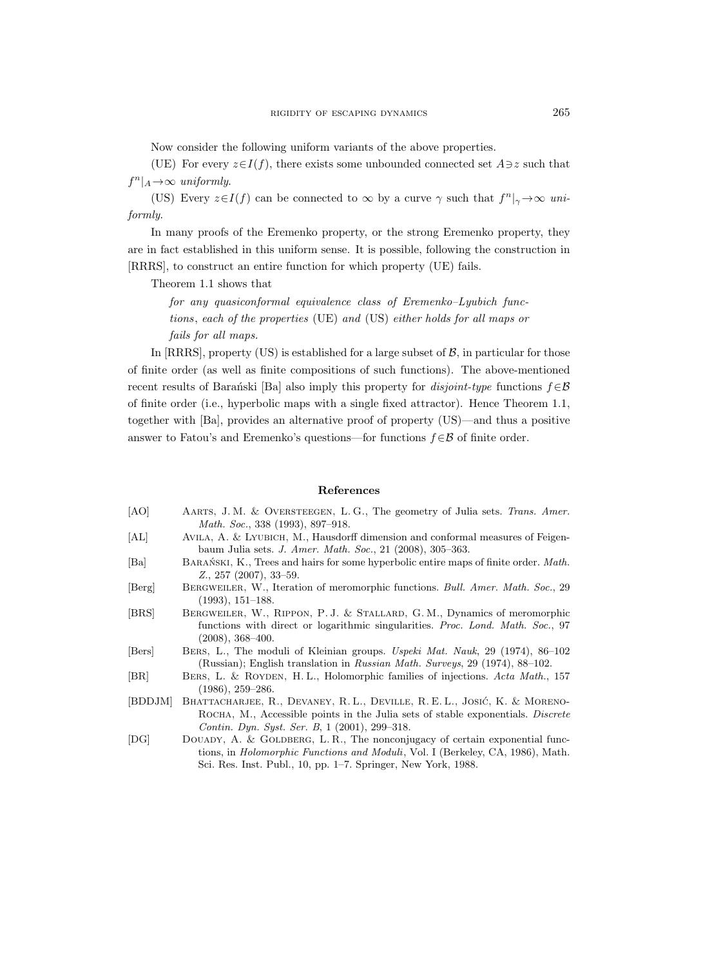Now consider the following uniform variants of the above properties.

(UE) For every  $z \in I(f)$ , there exists some unbounded connected set  $A \ni z$  such that  $f^n|_A \rightarrow \infty$  uniformly.

(US) Every  $z \in I(f)$  can be connected to  $\infty$  by a curve  $\gamma$  such that  $f^n|_{\gamma} \to \infty$  uniformly.

In many proofs of the Eremenko property, or the strong Eremenko property, they are in fact established in this uniform sense. It is possible, following the construction in [RRRS], to construct an entire function for which property (UE) fails.

Theorem 1.1 shows that

for any quasiconformal equivalence class of Eremenko–Lyubich functions, each of the properties (UE) and (US) either holds for all maps or fails for all maps.

In  $[RRRS]$ , property (US) is established for a large subset of  $\mathcal{B}$ , in particular for those of finite order (as well as finite compositions of such functions). The above-mentioned recent results of Baran<sup>ski</sup> [Ba] also imply this property for *disjoint-type* functions  $f \in \mathcal{B}$ of finite order (i.e., hyperbolic maps with a single fixed attractor). Hence Theorem 1.1, together with [Ba], provides an alternative proof of property (US)—and thus a positive answer to Fatou's and Eremenko's questions—for functions  $f \in \mathcal{B}$  of finite order.

#### References

- [AO] AARTS, J. M. & OVERSTEEGEN, L. G., The geometry of Julia sets. Trans. Amer. Math. Soc., 338 (1993), 897–918.
- [AL] Avila, A. & Lyubich, M., Hausdorff dimension and conformal measures of Feigenbaum Julia sets. J. Amer. Math. Soc., 21 (2008), 305–363.
- [Ba] BARAŃSKI, K., Trees and hairs for some hyperbolic entire maps of finite order. Math. Z., 257 (2007), 33–59.
- [Berg] Bergweiler, W., Iteration of meromorphic functions. Bull. Amer. Math. Soc., 29 (1993), 151–188.
- [BRS] Bergweiler, W., Rippon, P. J. & Stallard, G. M., Dynamics of meromorphic functions with direct or logarithmic singularities. Proc. Lond. Math. Soc., 97 (2008), 368–400.
- [Bers] Bers, L., The moduli of Kleinian groups. Uspeki Mat. Nauk, 29 (1974), 86–102 (Russian); English translation in Russian Math. Surveys, 29 (1974), 88–102.
- [BR] BERS, L. & ROYDEN, H. L., Holomorphic families of injections. Acta Math., 157 (1986), 259–286.
- [BDDJM] BHATTACHARJEE, R., DEVANEY, R. L., DEVILLE, R. E. L., JOSIĆ, K. & MORENO-ROCHA, M., Accessible points in the Julia sets of stable exponentials. Discrete Contin. Dyn. Syst. Ser. B, 1 (2001), 299–318.
- [DG] DOUADY, A. & GOLDBERG, L. R., The nonconjugacy of certain exponential functions, in Holomorphic Functions and Moduli, Vol. I (Berkeley, CA, 1986), Math. Sci. Res. Inst. Publ., 10, pp. 1–7. Springer, New York, 1988.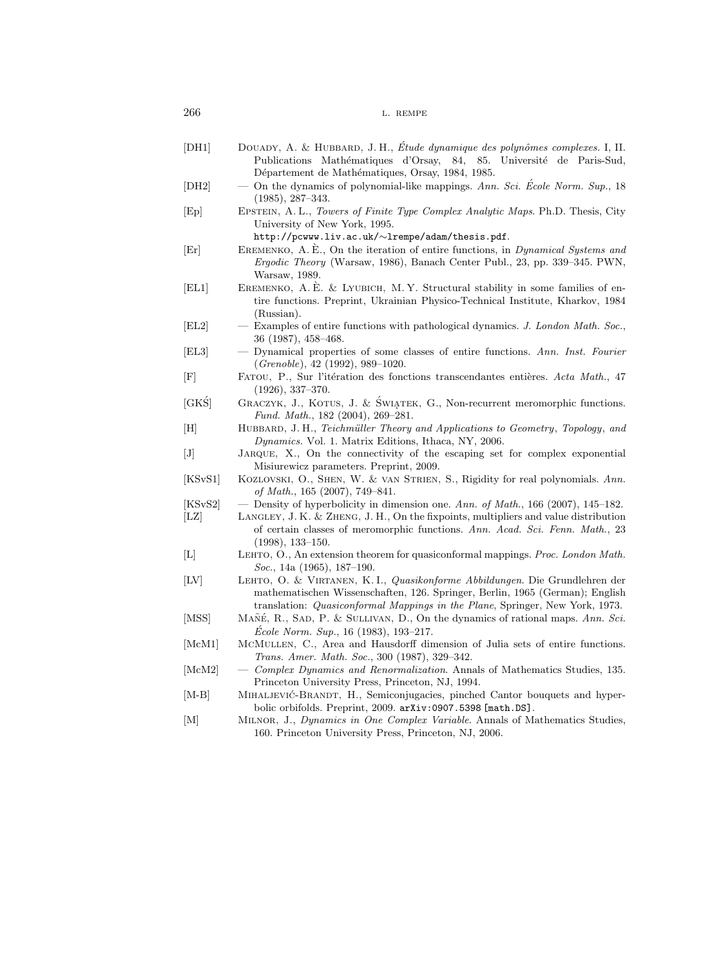| 266 | L. REMPE |
|-----|----------|
|     |          |

| [DH1]              | DOUADY, A. & HUBBARD, J. H., Étude dynamique des polynômes complexes. I, II.<br>Publications Mathématiques d'Orsay, 84, 85. Université de Paris-Sud,                                                                                       |
|--------------------|--------------------------------------------------------------------------------------------------------------------------------------------------------------------------------------------------------------------------------------------|
|                    | Département de Mathématiques, Orsay, 1984, 1985.                                                                                                                                                                                           |
| [ <sub>DH2</sub> ] | On the dynamics of polynomial-like mappings. Ann. Sci. École Norm. Sup., 18<br>$\overbrace{\qquad \qquad }^{ }$<br>$(1985), 287-343.$                                                                                                      |
| [Ep]               | EPSTEIN, A.L., Towers of Finite Type Complex Analytic Maps. Ph.D. Thesis, City<br>University of New York, 1995.<br>http://pcwww.liv.ac.uk/~lrempe/adam/thesis.pdf.                                                                         |
| Er                 | EREMENKO, A. E., On the iteration of entire functions, in <i>Dynamical Systems and</i><br>Ergodic Theory (Warsaw, 1986), Banach Center Publ., 23, pp. 339-345. PWN,<br>Warsaw, 1989.                                                       |
| [EL1]              | EREMENKO, A.E. & LYUBICH, M.Y. Structural stability in some families of en-<br>tire functions. Preprint, Ukrainian Physico-Technical Institute, Kharkov, 1984<br>(Russian).                                                                |
| [EL2]              | Examples of entire functions with pathological dynamics. J. London Math. Soc.,<br>$\overline{\phantom{m}}$<br>$36(1987), 458-468.$                                                                                                         |
| [EL3]              | - Dynamical properties of some classes of entire functions. Ann. Inst. Fourier<br>$(Grenoble)$ , 42 (1992), 989–1020.                                                                                                                      |
| [F]                | FATOU, P., Sur l'itération des fonctions transcendantes entières. Acta Math., 47<br>$(1926), 337-370.$                                                                                                                                     |
| $[GK\acute{S}]$    | GRACZYK, J., KOTUS, J. & ŚWIĄTEK, G., Non-recurrent meromorphic functions.<br>Fund. Math., 182 (2004), 269-281.                                                                                                                            |
| [H]                | HUBBARD, J.H., Teichmüller Theory and Applications to Geometry, Topology, and<br><i>Dynamics.</i> Vol. 1. Matrix Editions, Ithaca, NY, 2006.                                                                                               |
| $[J]$              | JARQUE, X., On the connectivity of the escaping set for complex exponential<br>Misiurewicz parameters. Preprint, 2009.                                                                                                                     |
| [KSvS1]            | KOZLOVSKI, O., SHEN, W. & VAN STRIEN, S., Rigidity for real polynomials. Ann.<br>of Math., $165$ (2007), 749–841.                                                                                                                          |
| [KSvS2]            | — Density of hyperbolicity in dimension one. Ann. of Math., 166 (2007), 145–182.                                                                                                                                                           |
| $ {\rm LZ} $       | LANGLEY, J. K. & ZHENG, J. H., On the fixpoints, multipliers and value distribution<br>of certain classes of meromorphic functions. Ann. Acad. Sci. Fenn. Math., 23<br>$(1998), 133 - 150.$                                                |
| $[{\rm L}]$        | LEHTO, O., An extension theorem for quasiconformal mappings. Proc. London Math.<br><i>Soc.</i> , 14a (1965), 187–190.                                                                                                                      |
| $[{\rm LV}]$       | LEHTO, O. & VIRTANEN, K.I., Quasikonforme Abbildungen. Die Grundlehren der<br>mathematischen Wissenschaften, 126. Springer, Berlin, 1965 (German); English<br>translation: Quasiconformal Mappings in the Plane, Springer, New York, 1973. |
| [MSS]              | MAÑÉ, R., SAD, P. & SULLIVAN, D., On the dynamics of rational maps. Ann. Sci.<br><i>École Norm. Sup.</i> , 16 (1983), 193-217.                                                                                                             |
| [McM1]             | MCMULLEN, C., Area and Hausdorff dimension of Julia sets of entire functions.<br>Trans. Amer. Math. Soc., 300 (1987), 329-342.                                                                                                             |
| [McM2]             | Complex Dynamics and Renormalization. Annals of Mathematics Studies, 135.<br>Princeton University Press, Princeton, NJ, 1994.                                                                                                              |
| $ M-B $            | MIHALJEVIĆ-BRANDT, H., Semiconjugacies, pinched Cantor bouquets and hyper-<br>bolic orbifolds. Preprint, 2009. arXiv: 0907.5398 [math.DS].                                                                                                 |
| M                  | MILNOR, J., Dynamics in One Complex Variable. Annals of Mathematics Studies,<br>160. Princeton University Press, Princeton, NJ, 2006.                                                                                                      |